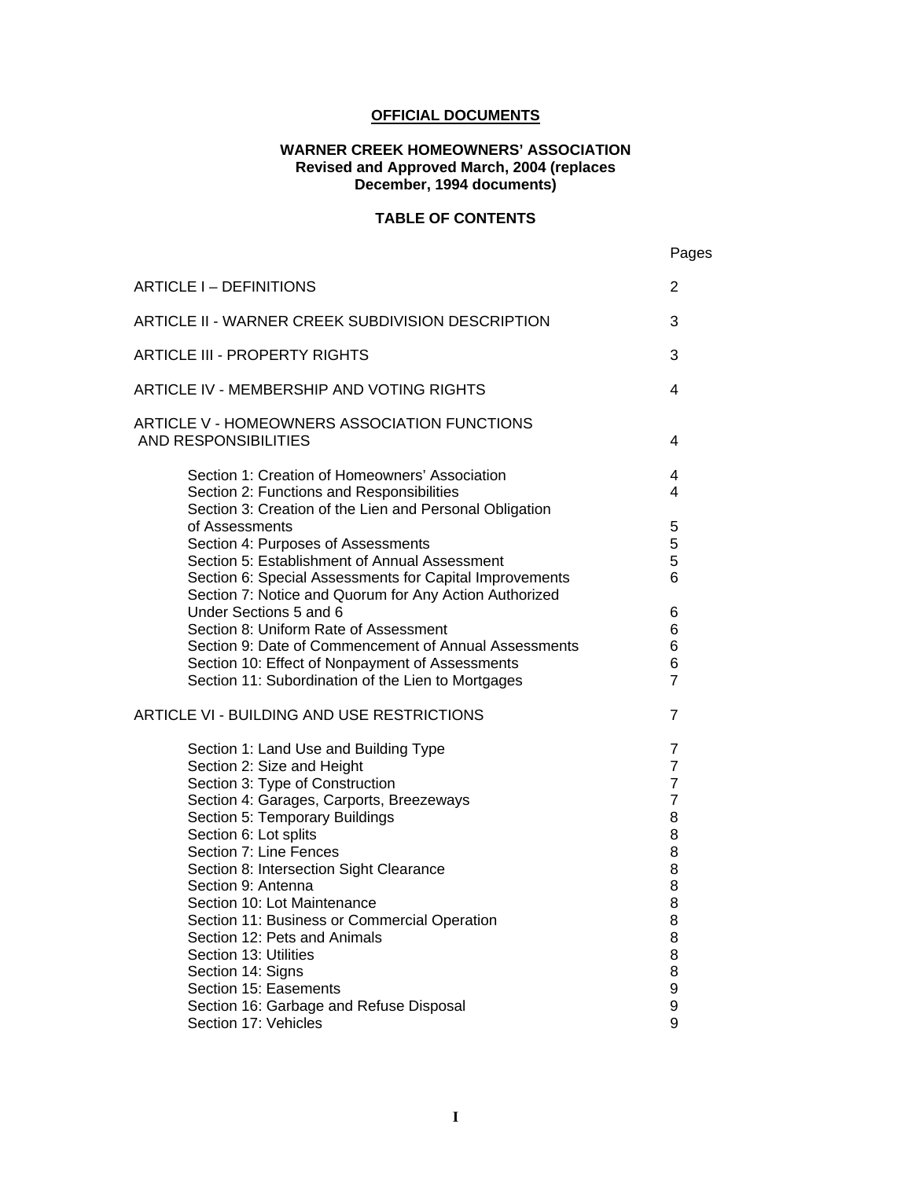#### **OFFICIAL DOCUMENTS**

#### **WARNER CREEK HOMEOWNERS' ASSOCIATION Revised and Approved March, 2004 (replaces December, 1994 documents)**

#### **TABLE OF CONTENTS**

|                                                                                                                                                                  | Pages                            |
|------------------------------------------------------------------------------------------------------------------------------------------------------------------|----------------------------------|
| ARTICLE I - DEFINITIONS                                                                                                                                          | 2                                |
| ARTICLE II - WARNER CREEK SUBDIVISION DESCRIPTION                                                                                                                | 3                                |
| <b>ARTICLE III - PROPERTY RIGHTS</b>                                                                                                                             | 3                                |
| ARTICLE IV - MEMBERSHIP AND VOTING RIGHTS                                                                                                                        | 4                                |
| ARTICLE V - HOMEOWNERS ASSOCIATION FUNCTIONS<br><b>AND RESPONSIBILITIES</b>                                                                                      | 4                                |
| Section 1: Creation of Homeowners' Association<br>Section 2: Functions and Responsibilities<br>Section 3: Creation of the Lien and Personal Obligation           | 4<br>4                           |
| of Assessments<br>Section 4: Purposes of Assessments<br>Section 5: Establishment of Annual Assessment<br>Section 6: Special Assessments for Capital Improvements | 5<br>5<br>5<br>6                 |
| Section 7: Notice and Quorum for Any Action Authorized<br>Under Sections 5 and 6<br>Section 8: Uniform Rate of Assessment                                        | 6<br>6                           |
| Section 9: Date of Commencement of Annual Assessments<br>Section 10: Effect of Nonpayment of Assessments                                                         | 6<br>6                           |
| Section 11: Subordination of the Lien to Mortgages<br>ARTICLE VI - BUILDING AND USE RESTRICTIONS                                                                 | $\overline{7}$<br>$\overline{7}$ |
|                                                                                                                                                                  | $\overline{7}$                   |
| Section 1: Land Use and Building Type<br>Section 2: Size and Height                                                                                              | $\overline{7}$                   |
| Section 3: Type of Construction                                                                                                                                  | $\overline{7}$                   |
| Section 4: Garages, Carports, Breezeways                                                                                                                         | $\overline{7}$                   |
| Section 5: Temporary Buildings                                                                                                                                   | 8                                |
| Section 6: Lot splits                                                                                                                                            | 8                                |
| Section 7: Line Fences                                                                                                                                           | 8                                |
| Section 8: Intersection Sight Clearance                                                                                                                          | 8                                |
| Section 9: Antenna                                                                                                                                               | 8                                |
| Section 10: Lot Maintenance                                                                                                                                      | 8                                |
| Section 11: Business or Commercial Operation                                                                                                                     | 8                                |
| Section 12: Pets and Animals                                                                                                                                     | 8                                |
| Section 13: Utilities                                                                                                                                            | 8                                |
| Section 14: Signs                                                                                                                                                | 8                                |
| Section 15: Easements                                                                                                                                            | 9                                |
| Section 16: Garbage and Refuse Disposal<br>Section 17: Vehicles                                                                                                  | 9<br>9                           |
|                                                                                                                                                                  |                                  |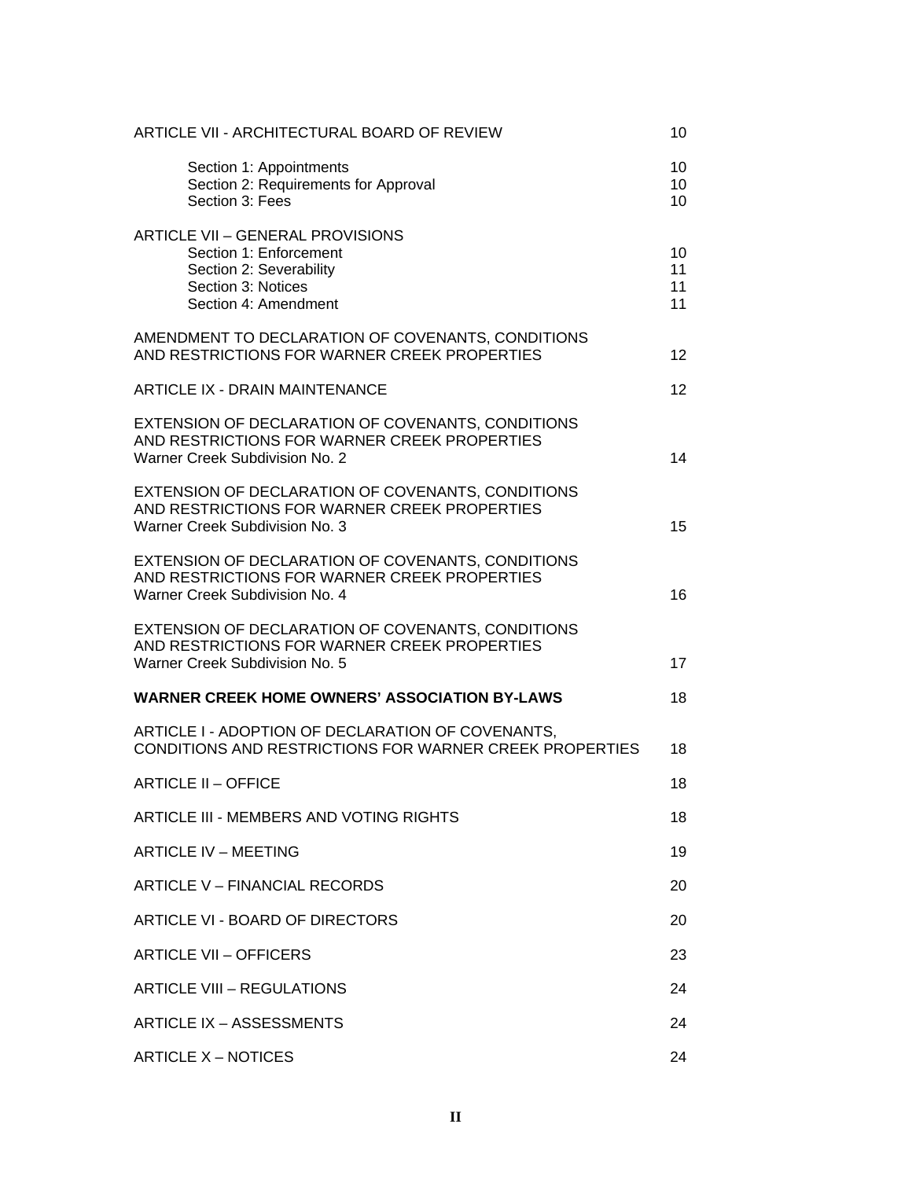| ARTICLE VII - ARCHITECTURAL BOARD OF REVIEW                                                                                                | 10                   |
|--------------------------------------------------------------------------------------------------------------------------------------------|----------------------|
| Section 1: Appointments<br>Section 2: Requirements for Approval<br>Section 3: Fees                                                         | 10<br>10<br>10       |
| <b>ARTICLE VII - GENERAL PROVISIONS</b><br>Section 1: Enforcement<br>Section 2: Severability<br>Section 3: Notices<br>Section 4: Amendment | 10<br>11<br>11<br>11 |
| AMENDMENT TO DECLARATION OF COVENANTS, CONDITIONS<br>AND RESTRICTIONS FOR WARNER CREEK PROPERTIES                                          | 12 <sup>2</sup>      |
| <b>ARTICLE IX - DRAIN MAINTENANCE</b>                                                                                                      | 12 <sup>2</sup>      |
| EXTENSION OF DECLARATION OF COVENANTS, CONDITIONS<br>AND RESTRICTIONS FOR WARNER CREEK PROPERTIES<br>Warner Creek Subdivision No. 2        | 14                   |
| EXTENSION OF DECLARATION OF COVENANTS, CONDITIONS<br>AND RESTRICTIONS FOR WARNER CREEK PROPERTIES<br>Warner Creek Subdivision No. 3        | 15                   |
| EXTENSION OF DECLARATION OF COVENANTS, CONDITIONS<br>AND RESTRICTIONS FOR WARNER CREEK PROPERTIES<br>Warner Creek Subdivision No. 4        | 16                   |
| EXTENSION OF DECLARATION OF COVENANTS, CONDITIONS<br>AND RESTRICTIONS FOR WARNER CREEK PROPERTIES<br>Warner Creek Subdivision No. 5        | 17                   |
| <b>WARNER CREEK HOME OWNERS' ASSOCIATION BY-LAWS</b>                                                                                       | 18                   |
| ARTICLE I - ADOPTION OF DECLARATION OF COVENANTS,<br>CONDITIONS AND RESTRICTIONS FOR WARNER CREEK PROPERTIES                               | 18                   |
| <b>ARTICLE II - OFFICE</b>                                                                                                                 | 18                   |
| ARTICLE III - MEMBERS AND VOTING RIGHTS                                                                                                    | 18                   |
| <b>ARTICLE IV - MEETING</b>                                                                                                                | 19                   |
| ARTICLE V - FINANCIAL RECORDS                                                                                                              | 20                   |
| ARTICLE VI - BOARD OF DIRECTORS                                                                                                            | 20                   |
| <b>ARTICLE VII - OFFICERS</b>                                                                                                              | 23                   |
| <b>ARTICLE VIII - REGULATIONS</b>                                                                                                          | 24                   |
| ARTICLE IX - ASSESSMENTS                                                                                                                   | 24                   |
| <b>ARTICLE X – NOTICES</b>                                                                                                                 | 24                   |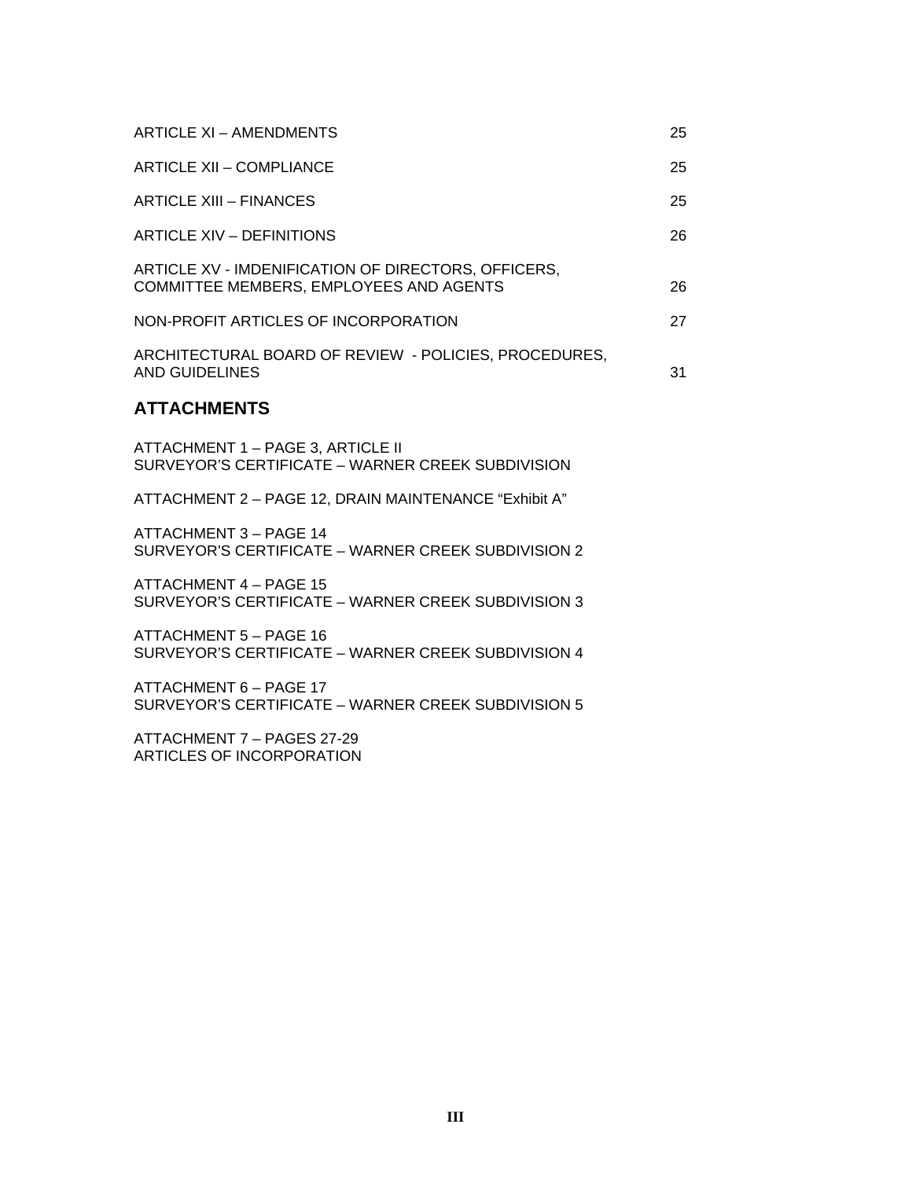| ARTICLE XI - AMENDMENTS                                                                        | 25 |
|------------------------------------------------------------------------------------------------|----|
| ARTICLE XII - COMPLIANCE                                                                       | 25 |
| ARTICLE XIII – FINANCES                                                                        | 25 |
| <b>ARTICLE XIV - DEFINITIONS</b>                                                               | 26 |
| ARTICLE XV - IMDENIFICATION OF DIRECTORS, OFFICERS,<br>COMMITTEE MEMBERS, EMPLOYEES AND AGENTS | 26 |
| NON-PROFIT ARTICLES OF INCORPORATION                                                           | 27 |
| ARCHITECTURAL BOARD OF REVIEW - POLICIES, PROCEDURES,<br>AND GUIDELINES                        | 31 |

#### **ATTACHMENTS**

ATTACHMENT 1 – PAGE 3, ARTICLE II SURVEYOR'S CERTIFICATE – WARNER CREEK SUBDIVISION

ATTACHMENT 2 – PAGE 12, DRAIN MAINTENANCE "Exhibit A"

ATTACHMENT 3 – PAGE 14 SURVEYOR'S CERTIFICATE – WARNER CREEK SUBDIVISION 2

ATTACHMENT 4 – PAGE 15 SURVEYOR'S CERTIFICATE – WARNER CREEK SUBDIVISION 3

ATTACHMENT 5 – PAGE 16 SURVEYOR'S CERTIFICATE – WARNER CREEK SUBDIVISION 4

ATTACHMENT 6 – PAGE 17 SURVEYOR'S CERTIFICATE – WARNER CREEK SUBDIVISION 5

ATTACHMENT 7 – PAGES 27-29 ARTICLES OF INCORPORATION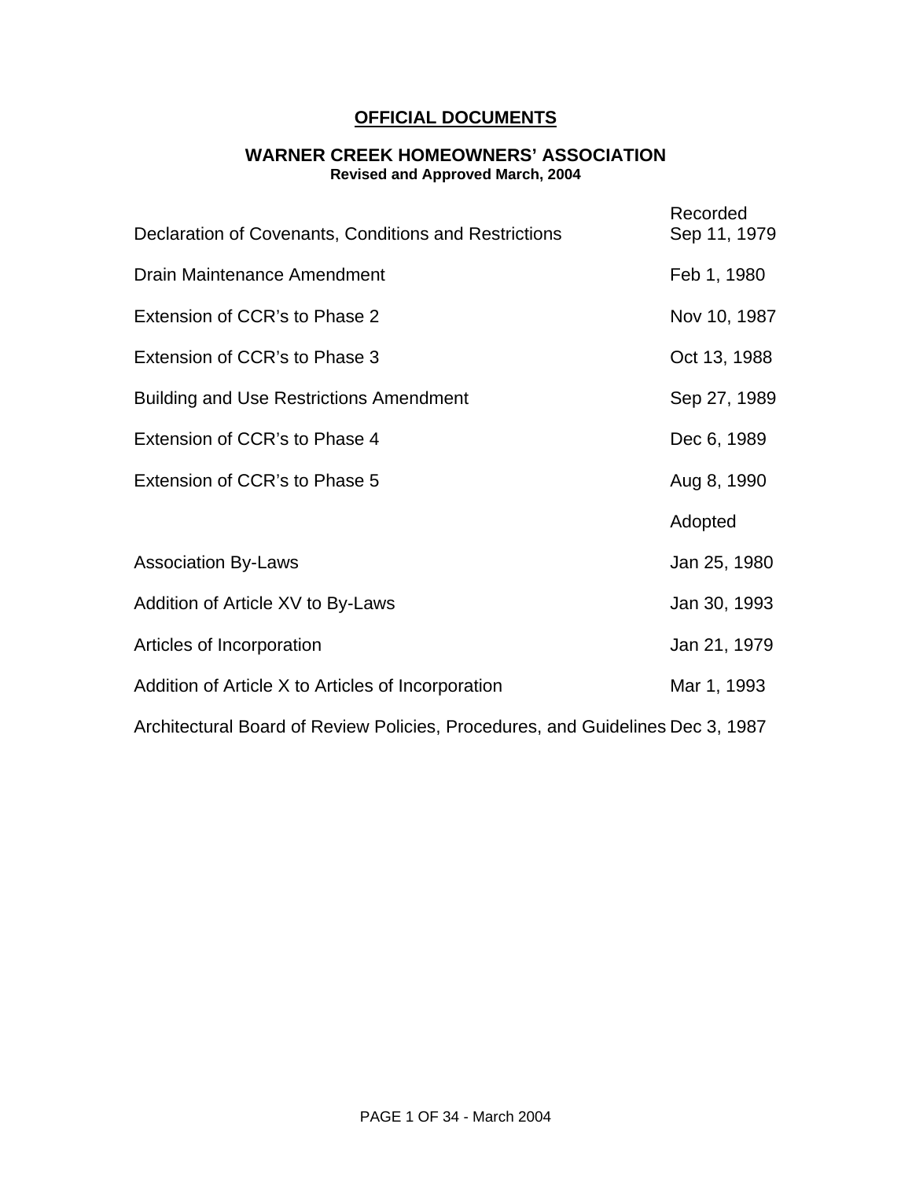# **OFFICIAL DOCUMENTS**

#### **WARNER CREEK HOMEOWNERS' ASSOCIATION Revised and Approved March, 2004**

| Declaration of Covenants, Conditions and Restrictions                          | Recorded<br>Sep 11, 1979 |  |
|--------------------------------------------------------------------------------|--------------------------|--|
| Drain Maintenance Amendment                                                    | Feb 1, 1980              |  |
| Extension of CCR's to Phase 2                                                  | Nov 10, 1987             |  |
| Extension of CCR's to Phase 3                                                  | Oct 13, 1988             |  |
| <b>Building and Use Restrictions Amendment</b>                                 | Sep 27, 1989             |  |
| Extension of CCR's to Phase 4                                                  | Dec 6, 1989              |  |
| Extension of CCR's to Phase 5                                                  | Aug 8, 1990              |  |
|                                                                                | Adopted                  |  |
| <b>Association By-Laws</b>                                                     | Jan 25, 1980             |  |
| Addition of Article XV to By-Laws                                              | Jan 30, 1993             |  |
| Articles of Incorporation                                                      | Jan 21, 1979             |  |
| Addition of Article X to Articles of Incorporation                             | Mar 1, 1993              |  |
| Architectural Board of Review Policies, Procedures, and Guidelines Dec 3, 1987 |                          |  |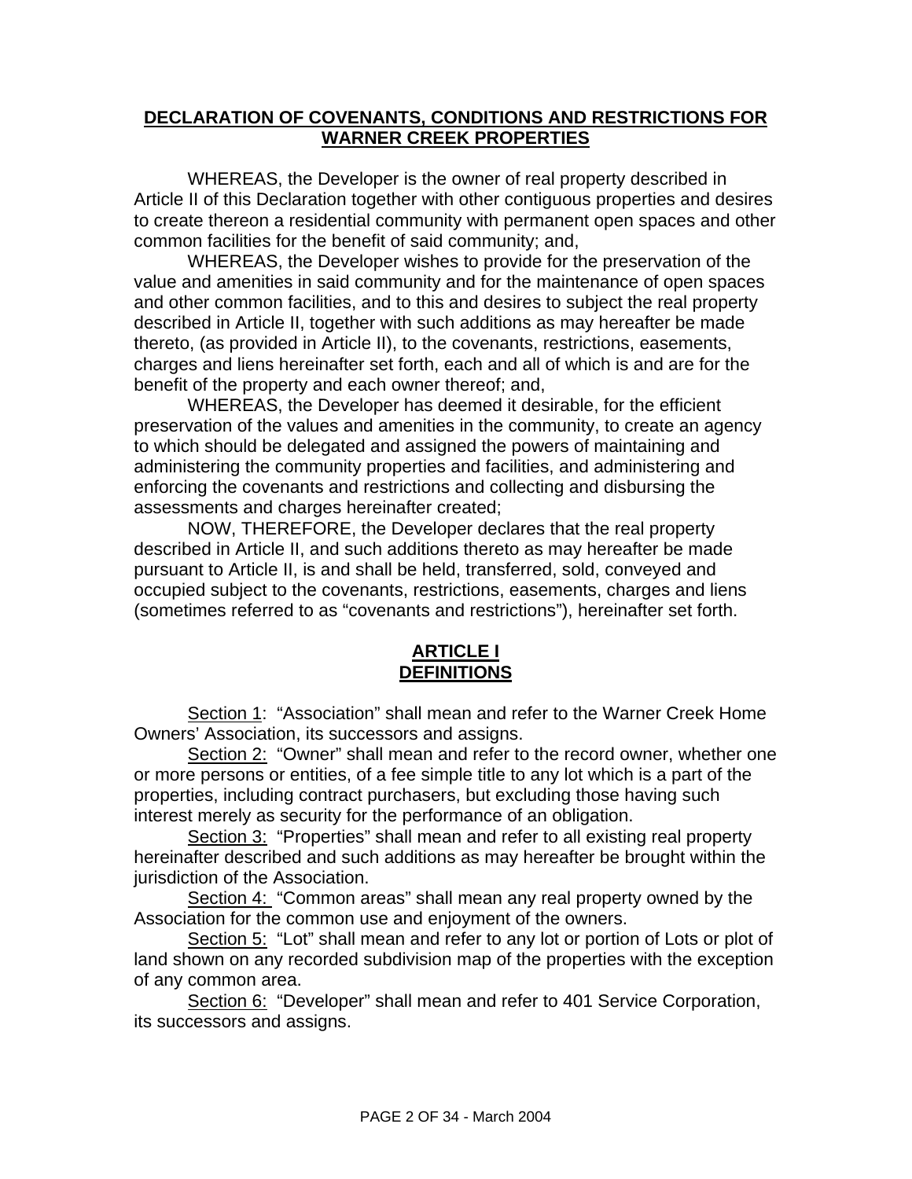### **DECLARATION OF COVENANTS, CONDITIONS AND RESTRICTIONS FOR WARNER CREEK PROPERTIES**

WHEREAS, the Developer is the owner of real property described in Article II of this Declaration together with other contiguous properties and desires to create thereon a residential community with permanent open spaces and other common facilities for the benefit of said community; and,

WHEREAS, the Developer wishes to provide for the preservation of the value and amenities in said community and for the maintenance of open spaces and other common facilities, and to this and desires to subject the real property described in Article II, together with such additions as may hereafter be made thereto, (as provided in Article II), to the covenants, restrictions, easements, charges and liens hereinafter set forth, each and all of which is and are for the benefit of the property and each owner thereof; and,

WHEREAS, the Developer has deemed it desirable, for the efficient preservation of the values and amenities in the community, to create an agency to which should be delegated and assigned the powers of maintaining and administering the community properties and facilities, and administering and enforcing the covenants and restrictions and collecting and disbursing the assessments and charges hereinafter created;

NOW, THEREFORE, the Developer declares that the real property described in Article II, and such additions thereto as may hereafter be made pursuant to Article II, is and shall be held, transferred, sold, conveyed and occupied subject to the covenants, restrictions, easements, charges and liens (sometimes referred to as "covenants and restrictions"), hereinafter set forth.

### **ARTICLE I DEFINITIONS**

Section 1: "Association" shall mean and refer to the Warner Creek Home Owners' Association, its successors and assigns.

Section 2: "Owner" shall mean and refer to the record owner, whether one or more persons or entities, of a fee simple title to any lot which is a part of the properties, including contract purchasers, but excluding those having such interest merely as security for the performance of an obligation.

Section 3: "Properties" shall mean and refer to all existing real property hereinafter described and such additions as may hereafter be brought within the jurisdiction of the Association.

Section 4: "Common areas" shall mean any real property owned by the Association for the common use and enjoyment of the owners.

Section 5: "Lot" shall mean and refer to any lot or portion of Lots or plot of land shown on any recorded subdivision map of the properties with the exception of any common area.

Section 6: "Developer" shall mean and refer to 401 Service Corporation, its successors and assigns.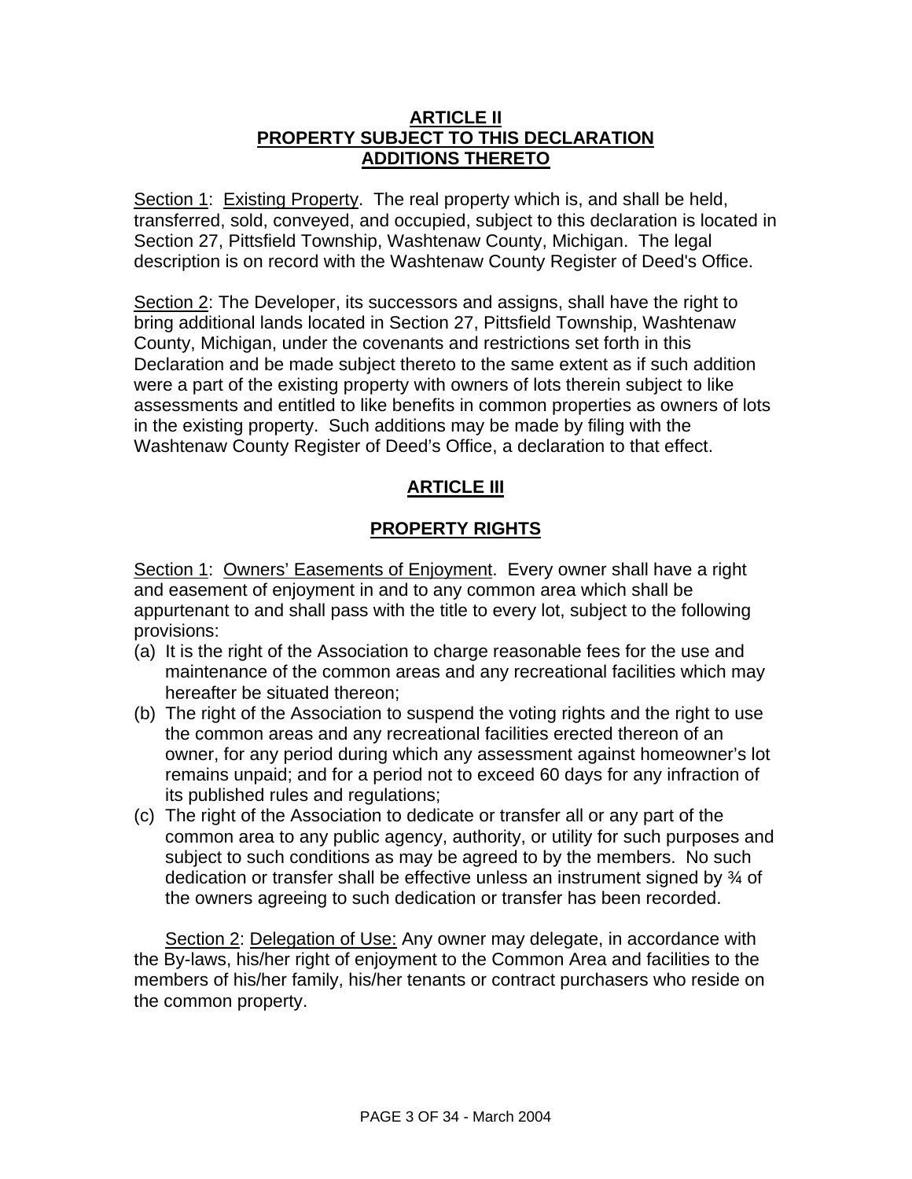### **ARTICLE II PROPERTY SUBJECT TO THIS DECLARATION ADDITIONS THERETO**

Section 1: Existing Property. The real property which is, and shall be held, transferred, sold, conveyed, and occupied, subject to this declaration is located in Section 27, Pittsfield Township, Washtenaw County, Michigan. The legal description is on record with the Washtenaw County Register of Deed's Office.

Section 2: The Developer, its successors and assigns, shall have the right to bring additional lands located in Section 27, Pittsfield Township, Washtenaw County, Michigan, under the covenants and restrictions set forth in this Declaration and be made subject thereto to the same extent as if such addition were a part of the existing property with owners of lots therein subject to like assessments and entitled to like benefits in common properties as owners of lots in the existing property. Such additions may be made by filing with the Washtenaw County Register of Deed's Office, a declaration to that effect.

# **ARTICLE III**

# **PROPERTY RIGHTS**

Section 1: Owners' Easements of Enjoyment. Every owner shall have a right and easement of enjoyment in and to any common area which shall be appurtenant to and shall pass with the title to every lot, subject to the following provisions:

- (a) It is the right of the Association to charge reasonable fees for the use and maintenance of the common areas and any recreational facilities which may hereafter be situated thereon;
- (b) The right of the Association to suspend the voting rights and the right to use the common areas and any recreational facilities erected thereon of an owner, for any period during which any assessment against homeowner's lot remains unpaid; and for a period not to exceed 60 days for any infraction of its published rules and regulations;
- (c) The right of the Association to dedicate or transfer all or any part of the common area to any public agency, authority, or utility for such purposes and subject to such conditions as may be agreed to by the members. No such dedication or transfer shall be effective unless an instrument signed by ¾ of the owners agreeing to such dedication or transfer has been recorded.

Section 2: Delegation of Use: Any owner may delegate, in accordance with the By-laws, his/her right of enjoyment to the Common Area and facilities to the members of his/her family, his/her tenants or contract purchasers who reside on the common property.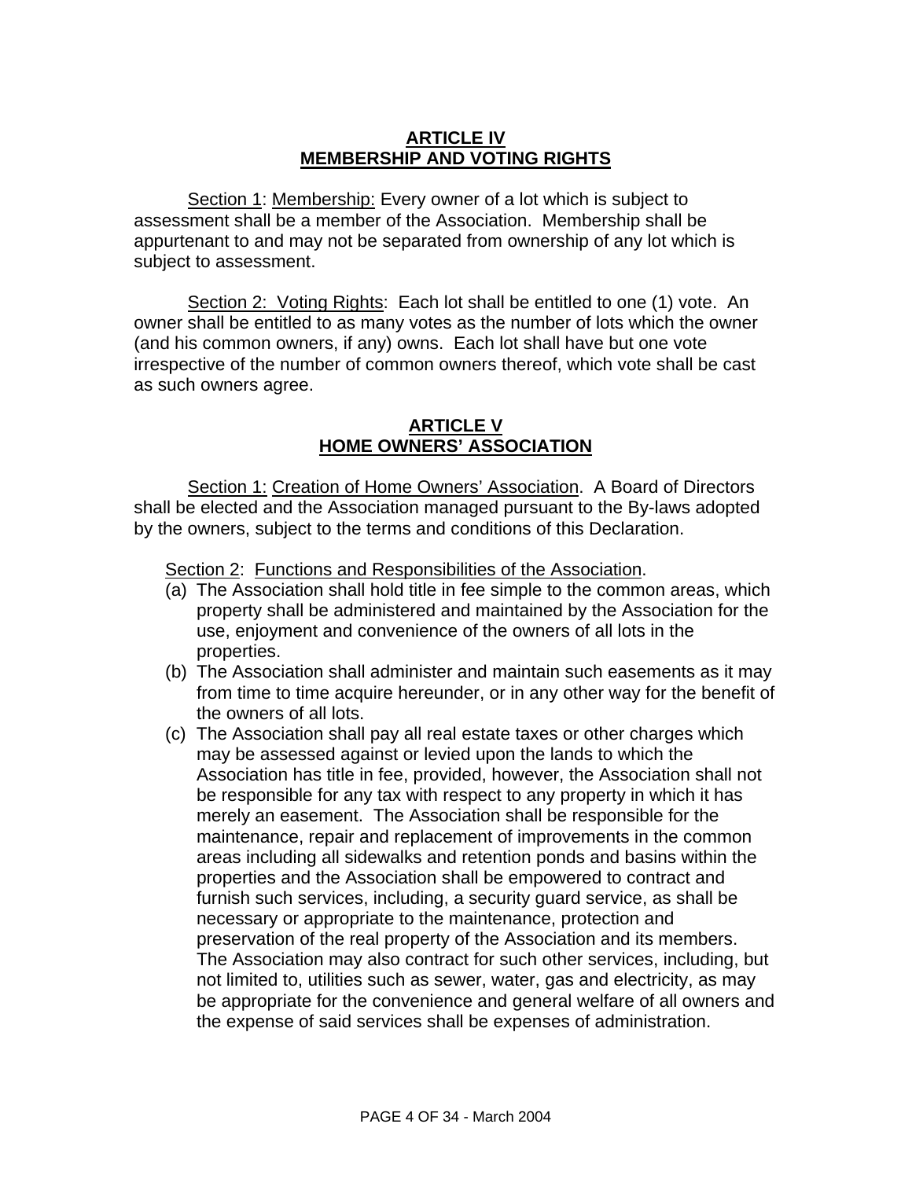## **ARTICLE IV MEMBERSHIP AND VOTING RIGHTS**

Section 1: Membership: Every owner of a lot which is subject to assessment shall be a member of the Association. Membership shall be appurtenant to and may not be separated from ownership of any lot which is subject to assessment.

Section 2: Voting Rights: Each lot shall be entitled to one (1) vote. An owner shall be entitled to as many votes as the number of lots which the owner (and his common owners, if any) owns. Each lot shall have but one vote irrespective of the number of common owners thereof, which vote shall be cast as such owners agree.

### **ARTICLE V HOME OWNERS' ASSOCIATION**

Section 1: Creation of Home Owners' Association. A Board of Directors shall be elected and the Association managed pursuant to the By-laws adopted by the owners, subject to the terms and conditions of this Declaration.

Section 2: Functions and Responsibilities of the Association.

- (a) The Association shall hold title in fee simple to the common areas, which property shall be administered and maintained by the Association for the use, enjoyment and convenience of the owners of all lots in the properties.
- (b) The Association shall administer and maintain such easements as it may from time to time acquire hereunder, or in any other way for the benefit of the owners of all lots.
- (c) The Association shall pay all real estate taxes or other charges which may be assessed against or levied upon the lands to which the Association has title in fee, provided, however, the Association shall not be responsible for any tax with respect to any property in which it has merely an easement. The Association shall be responsible for the maintenance, repair and replacement of improvements in the common areas including all sidewalks and retention ponds and basins within the properties and the Association shall be empowered to contract and furnish such services, including, a security guard service, as shall be necessary or appropriate to the maintenance, protection and preservation of the real property of the Association and its members. The Association may also contract for such other services, including, but not limited to, utilities such as sewer, water, gas and electricity, as may be appropriate for the convenience and general welfare of all owners and the expense of said services shall be expenses of administration.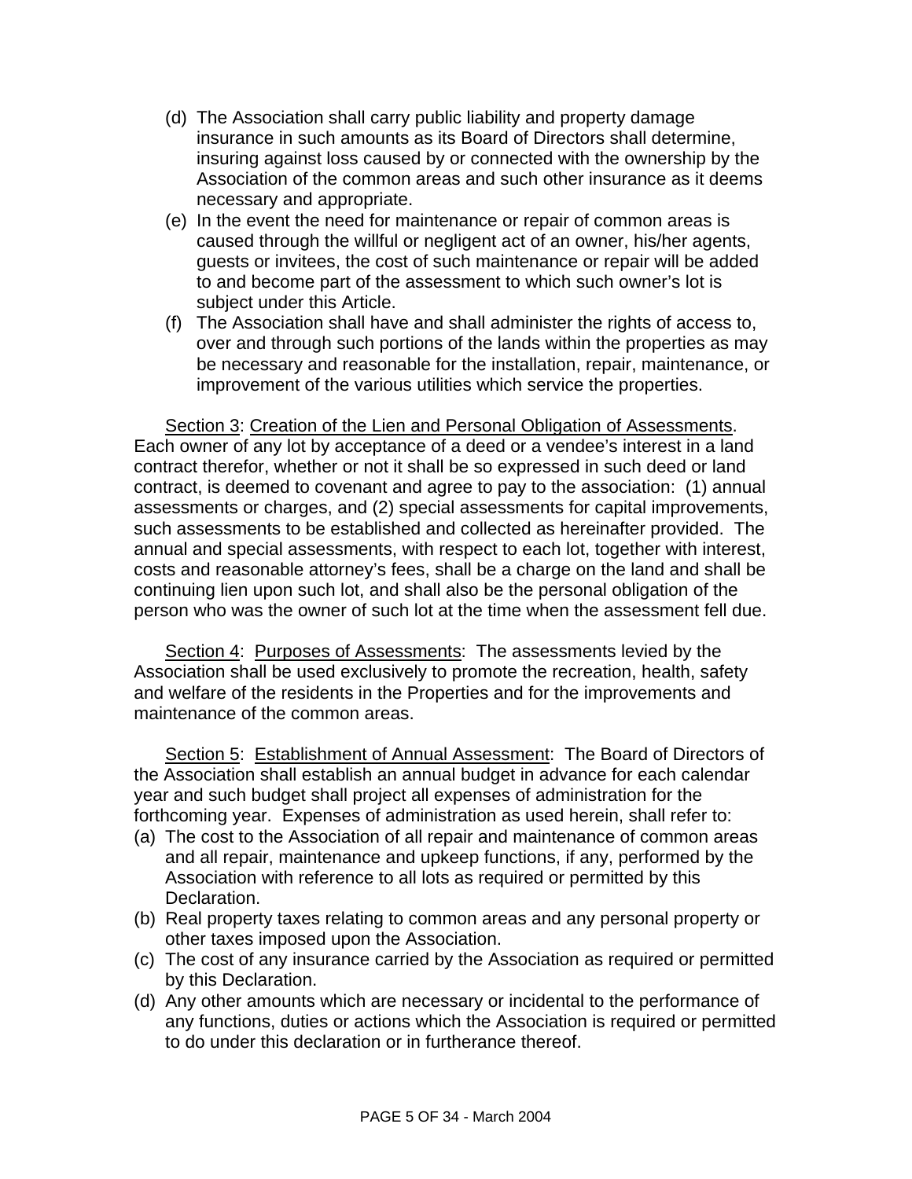- (d) The Association shall carry public liability and property damage insurance in such amounts as its Board of Directors shall determine, insuring against loss caused by or connected with the ownership by the Association of the common areas and such other insurance as it deems necessary and appropriate.
- (e) In the event the need for maintenance or repair of common areas is caused through the willful or negligent act of an owner, his/her agents, guests or invitees, the cost of such maintenance or repair will be added to and become part of the assessment to which such owner's lot is subject under this Article.
- (f) The Association shall have and shall administer the rights of access to, over and through such portions of the lands within the properties as may be necessary and reasonable for the installation, repair, maintenance, or improvement of the various utilities which service the properties.

Section 3: Creation of the Lien and Personal Obligation of Assessments. Each owner of any lot by acceptance of a deed or a vendee's interest in a land contract therefor, whether or not it shall be so expressed in such deed or land contract, is deemed to covenant and agree to pay to the association: (1) annual assessments or charges, and (2) special assessments for capital improvements, such assessments to be established and collected as hereinafter provided. The annual and special assessments, with respect to each lot, together with interest, costs and reasonable attorney's fees, shall be a charge on the land and shall be continuing lien upon such lot, and shall also be the personal obligation of the person who was the owner of such lot at the time when the assessment fell due.

Section 4: Purposes of Assessments: The assessments levied by the Association shall be used exclusively to promote the recreation, health, safety and welfare of the residents in the Properties and for the improvements and maintenance of the common areas.

Section 5: Establishment of Annual Assessment: The Board of Directors of the Association shall establish an annual budget in advance for each calendar year and such budget shall project all expenses of administration for the forthcoming year. Expenses of administration as used herein, shall refer to:

- (a) The cost to the Association of all repair and maintenance of common areas and all repair, maintenance and upkeep functions, if any, performed by the Association with reference to all lots as required or permitted by this Declaration.
- (b) Real property taxes relating to common areas and any personal property or other taxes imposed upon the Association.
- (c) The cost of any insurance carried by the Association as required or permitted by this Declaration.
- (d) Any other amounts which are necessary or incidental to the performance of any functions, duties or actions which the Association is required or permitted to do under this declaration or in furtherance thereof.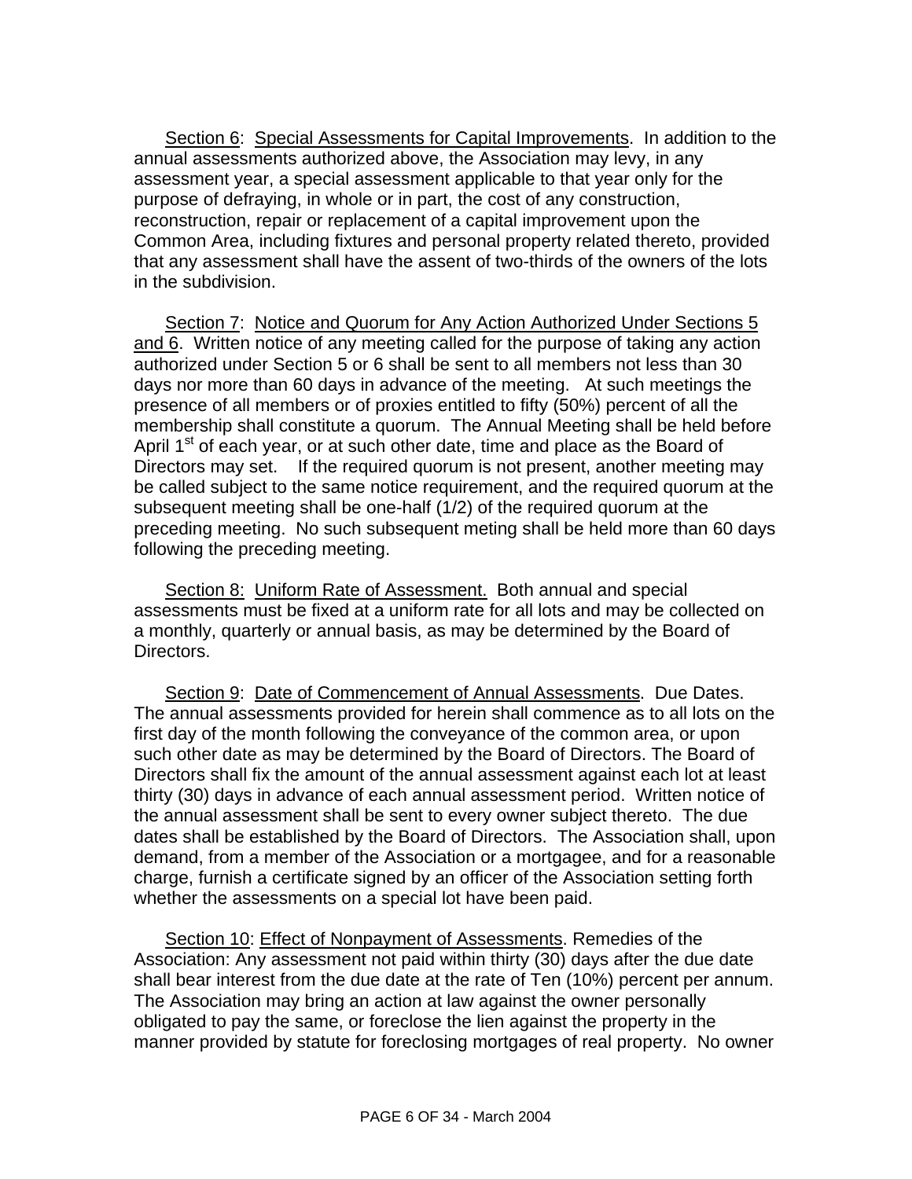Section 6: Special Assessments for Capital Improvements. In addition to the annual assessments authorized above, the Association may levy, in any assessment year, a special assessment applicable to that year only for the purpose of defraying, in whole or in part, the cost of any construction, reconstruction, repair or replacement of a capital improvement upon the Common Area, including fixtures and personal property related thereto, provided that any assessment shall have the assent of two-thirds of the owners of the lots in the subdivision.

Section 7: Notice and Quorum for Any Action Authorized Under Sections 5 and 6. Written notice of any meeting called for the purpose of taking any action authorized under Section 5 or 6 shall be sent to all members not less than 30 days nor more than 60 days in advance of the meeting. At such meetings the presence of all members or of proxies entitled to fifty (50%) percent of all the membership shall constitute a quorum. The Annual Meeting shall be held before April 1<sup>st</sup> of each year, or at such other date, time and place as the Board of Directors may set. If the required quorum is not present, another meeting may be called subject to the same notice requirement, and the required quorum at the subsequent meeting shall be one-half (1/2) of the required quorum at the preceding meeting. No such subsequent meting shall be held more than 60 days following the preceding meeting.

Section 8: Uniform Rate of Assessment. Both annual and special assessments must be fixed at a uniform rate for all lots and may be collected on a monthly, quarterly or annual basis, as may be determined by the Board of Directors.

Section 9: Date of Commencement of Annual Assessments. Due Dates. The annual assessments provided for herein shall commence as to all lots on the first day of the month following the conveyance of the common area, or upon such other date as may be determined by the Board of Directors. The Board of Directors shall fix the amount of the annual assessment against each lot at least thirty (30) days in advance of each annual assessment period. Written notice of the annual assessment shall be sent to every owner subject thereto. The due dates shall be established by the Board of Directors. The Association shall, upon demand, from a member of the Association or a mortgagee, and for a reasonable charge, furnish a certificate signed by an officer of the Association setting forth whether the assessments on a special lot have been paid.

Section 10: Effect of Nonpayment of Assessments. Remedies of the Association: Any assessment not paid within thirty (30) days after the due date shall bear interest from the due date at the rate of Ten (10%) percent per annum. The Association may bring an action at law against the owner personally obligated to pay the same, or foreclose the lien against the property in the manner provided by statute for foreclosing mortgages of real property. No owner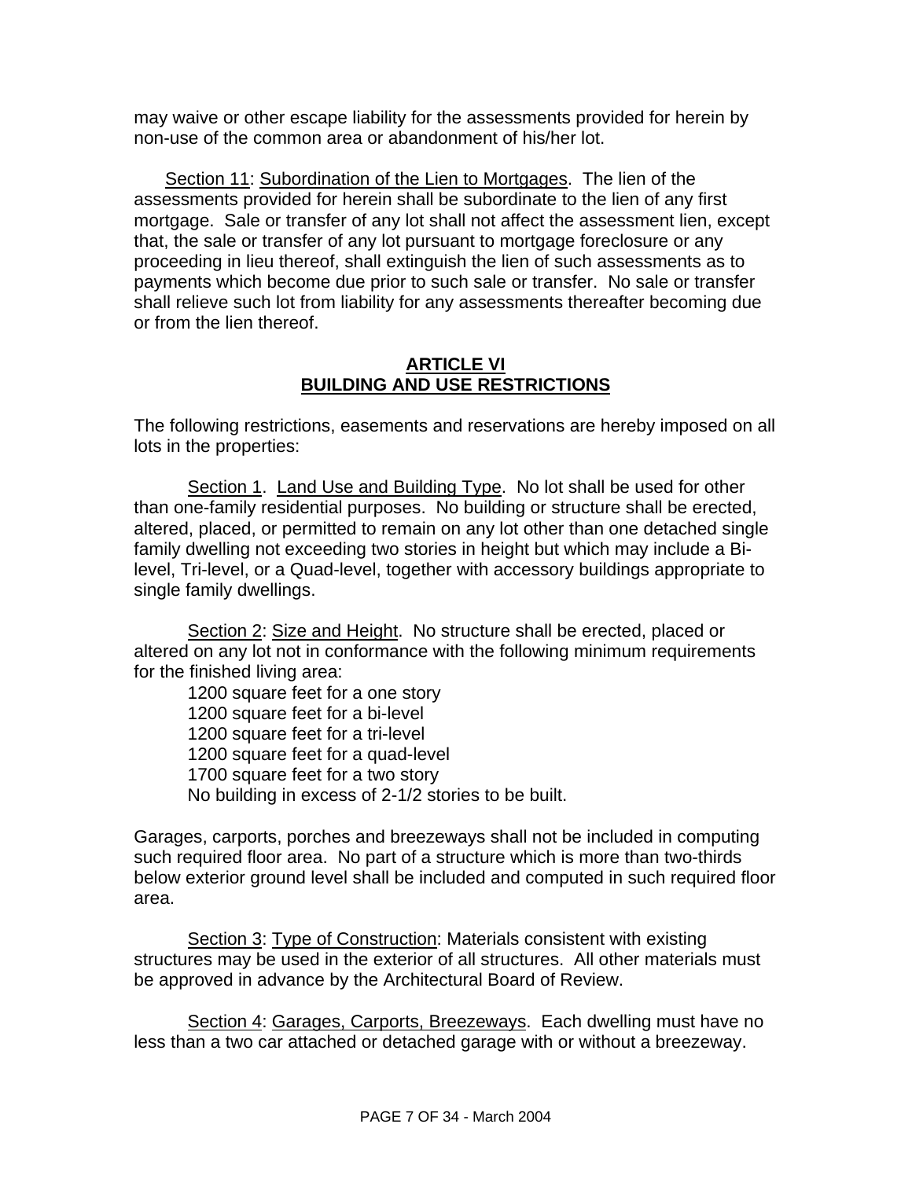may waive or other escape liability for the assessments provided for herein by non-use of the common area or abandonment of his/her lot.

Section 11: Subordination of the Lien to Mortgages. The lien of the assessments provided for herein shall be subordinate to the lien of any first mortgage. Sale or transfer of any lot shall not affect the assessment lien, except that, the sale or transfer of any lot pursuant to mortgage foreclosure or any proceeding in lieu thereof, shall extinguish the lien of such assessments as to payments which become due prior to such sale or transfer. No sale or transfer shall relieve such lot from liability for any assessments thereafter becoming due or from the lien thereof.

#### **ARTICLE VI BUILDING AND USE RESTRICTIONS**

The following restrictions, easements and reservations are hereby imposed on all lots in the properties:

Section 1. Land Use and Building Type. No lot shall be used for other than one-family residential purposes. No building or structure shall be erected, altered, placed, or permitted to remain on any lot other than one detached single family dwelling not exceeding two stories in height but which may include a Bilevel, Tri-level, or a Quad-level, together with accessory buildings appropriate to single family dwellings.

Section 2: Size and Height. No structure shall be erected, placed or altered on any lot not in conformance with the following minimum requirements for the finished living area:

1200 square feet for a one story 1200 square feet for a bi-level 1200 square feet for a tri-level 1200 square feet for a quad-level 1700 square feet for a two story No building in excess of 2-1/2 stories to be built.

Garages, carports, porches and breezeways shall not be included in computing such required floor area. No part of a structure which is more than two-thirds below exterior ground level shall be included and computed in such required floor area.

Section 3: Type of Construction: Materials consistent with existing structures may be used in the exterior of all structures. All other materials must be approved in advance by the Architectural Board of Review.

Section 4: Garages, Carports, Breezeways. Each dwelling must have no less than a two car attached or detached garage with or without a breezeway.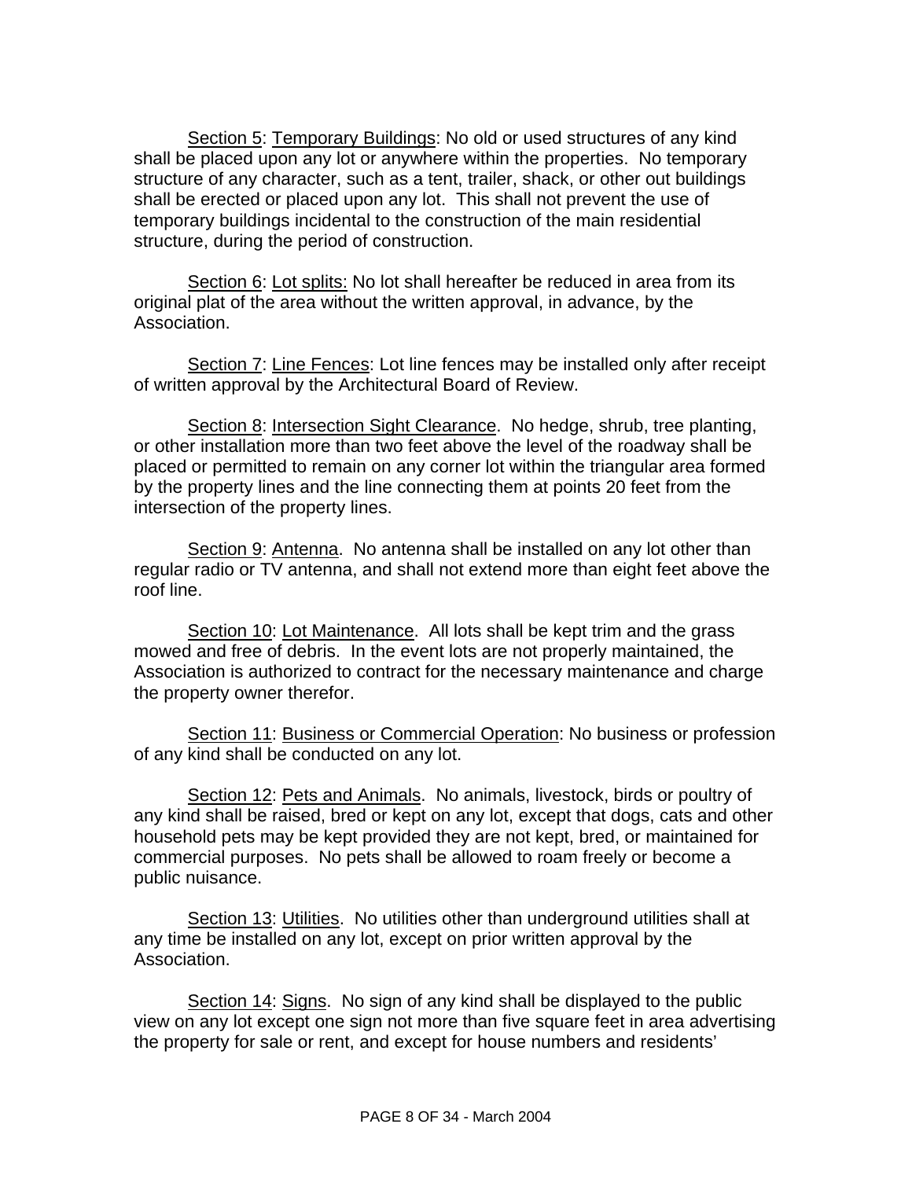Section 5: Temporary Buildings: No old or used structures of any kind shall be placed upon any lot or anywhere within the properties. No temporary structure of any character, such as a tent, trailer, shack, or other out buildings shall be erected or placed upon any lot. This shall not prevent the use of temporary buildings incidental to the construction of the main residential structure, during the period of construction.

Section 6: Lot splits: No lot shall hereafter be reduced in area from its original plat of the area without the written approval, in advance, by the Association.

Section 7: Line Fences: Lot line fences may be installed only after receipt of written approval by the Architectural Board of Review.

Section 8: Intersection Sight Clearance. No hedge, shrub, tree planting, or other installation more than two feet above the level of the roadway shall be placed or permitted to remain on any corner lot within the triangular area formed by the property lines and the line connecting them at points 20 feet from the intersection of the property lines.

Section 9: Antenna. No antenna shall be installed on any lot other than regular radio or TV antenna, and shall not extend more than eight feet above the roof line.

Section 10: Lot Maintenance. All lots shall be kept trim and the grass mowed and free of debris. In the event lots are not properly maintained, the Association is authorized to contract for the necessary maintenance and charge the property owner therefor.

Section 11: Business or Commercial Operation: No business or profession of any kind shall be conducted on any lot.

Section 12: Pets and Animals. No animals, livestock, birds or poultry of any kind shall be raised, bred or kept on any lot, except that dogs, cats and other household pets may be kept provided they are not kept, bred, or maintained for commercial purposes. No pets shall be allowed to roam freely or become a public nuisance.

Section 13: Utilities. No utilities other than underground utilities shall at any time be installed on any lot, except on prior written approval by the Association.

Section 14: Signs. No sign of any kind shall be displayed to the public view on any lot except one sign not more than five square feet in area advertising the property for sale or rent, and except for house numbers and residents'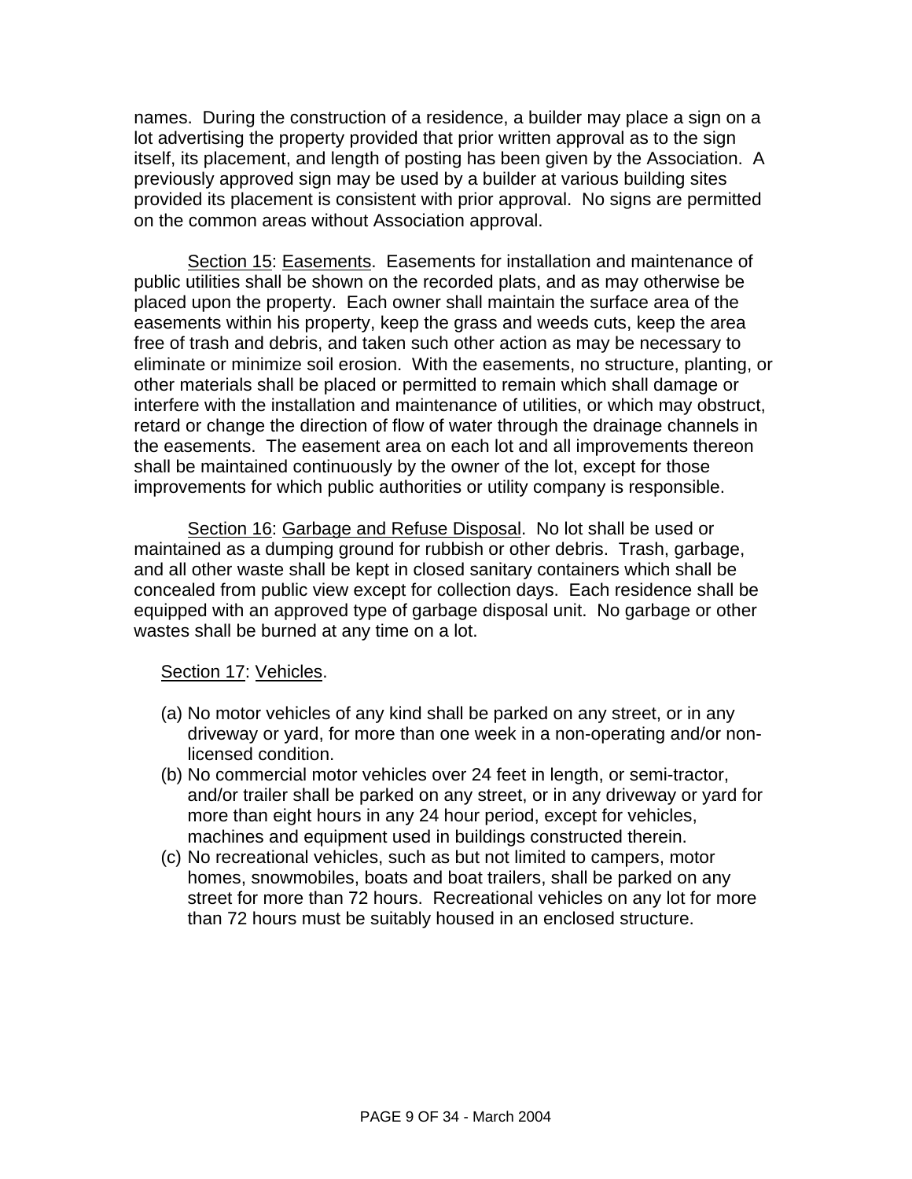names. During the construction of a residence, a builder may place a sign on a lot advertising the property provided that prior written approval as to the sign itself, its placement, and length of posting has been given by the Association. A previously approved sign may be used by a builder at various building sites provided its placement is consistent with prior approval. No signs are permitted on the common areas without Association approval.

Section 15: Easements. Easements for installation and maintenance of public utilities shall be shown on the recorded plats, and as may otherwise be placed upon the property. Each owner shall maintain the surface area of the easements within his property, keep the grass and weeds cuts, keep the area free of trash and debris, and taken such other action as may be necessary to eliminate or minimize soil erosion. With the easements, no structure, planting, or other materials shall be placed or permitted to remain which shall damage or interfere with the installation and maintenance of utilities, or which may obstruct, retard or change the direction of flow of water through the drainage channels in the easements. The easement area on each lot and all improvements thereon shall be maintained continuously by the owner of the lot, except for those improvements for which public authorities or utility company is responsible.

Section 16: Garbage and Refuse Disposal. No lot shall be used or maintained as a dumping ground for rubbish or other debris. Trash, garbage, and all other waste shall be kept in closed sanitary containers which shall be concealed from public view except for collection days. Each residence shall be equipped with an approved type of garbage disposal unit. No garbage or other wastes shall be burned at any time on a lot.

#### Section 17: Vehicles.

- (a) No motor vehicles of any kind shall be parked on any street, or in any driveway or yard, for more than one week in a non-operating and/or nonlicensed condition.
- (b) No commercial motor vehicles over 24 feet in length, or semi-tractor, and/or trailer shall be parked on any street, or in any driveway or yard for more than eight hours in any 24 hour period, except for vehicles, machines and equipment used in buildings constructed therein.
- (c) No recreational vehicles, such as but not limited to campers, motor homes, snowmobiles, boats and boat trailers, shall be parked on any street for more than 72 hours. Recreational vehicles on any lot for more than 72 hours must be suitably housed in an enclosed structure.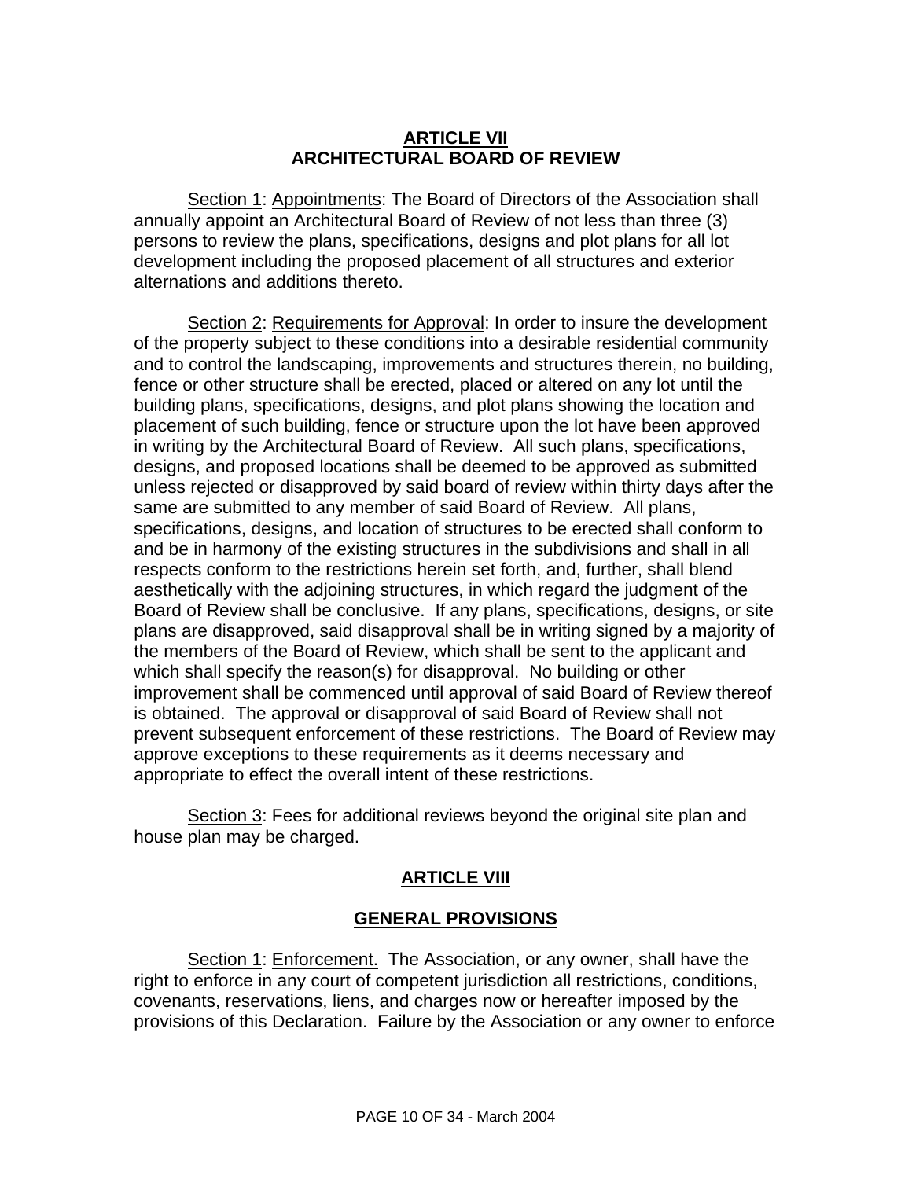#### **ARTICLE VII ARCHITECTURAL BOARD OF REVIEW**

Section 1: Appointments: The Board of Directors of the Association shall annually appoint an Architectural Board of Review of not less than three (3) persons to review the plans, specifications, designs and plot plans for all lot development including the proposed placement of all structures and exterior alternations and additions thereto.

Section 2: Requirements for Approval: In order to insure the development of the property subject to these conditions into a desirable residential community and to control the landscaping, improvements and structures therein, no building, fence or other structure shall be erected, placed or altered on any lot until the building plans, specifications, designs, and plot plans showing the location and placement of such building, fence or structure upon the lot have been approved in writing by the Architectural Board of Review. All such plans, specifications, designs, and proposed locations shall be deemed to be approved as submitted unless rejected or disapproved by said board of review within thirty days after the same are submitted to any member of said Board of Review. All plans, specifications, designs, and location of structures to be erected shall conform to and be in harmony of the existing structures in the subdivisions and shall in all respects conform to the restrictions herein set forth, and, further, shall blend aesthetically with the adjoining structures, in which regard the judgment of the Board of Review shall be conclusive. If any plans, specifications, designs, or site plans are disapproved, said disapproval shall be in writing signed by a majority of the members of the Board of Review, which shall be sent to the applicant and which shall specify the reason(s) for disapproval. No building or other improvement shall be commenced until approval of said Board of Review thereof is obtained. The approval or disapproval of said Board of Review shall not prevent subsequent enforcement of these restrictions. The Board of Review may approve exceptions to these requirements as it deems necessary and appropriate to effect the overall intent of these restrictions.

Section 3: Fees for additional reviews beyond the original site plan and house plan may be charged.

# **ARTICLE VIII**

### **GENERAL PROVISIONS**

Section 1: Enforcement. The Association, or any owner, shall have the right to enforce in any court of competent jurisdiction all restrictions, conditions, covenants, reservations, liens, and charges now or hereafter imposed by the provisions of this Declaration. Failure by the Association or any owner to enforce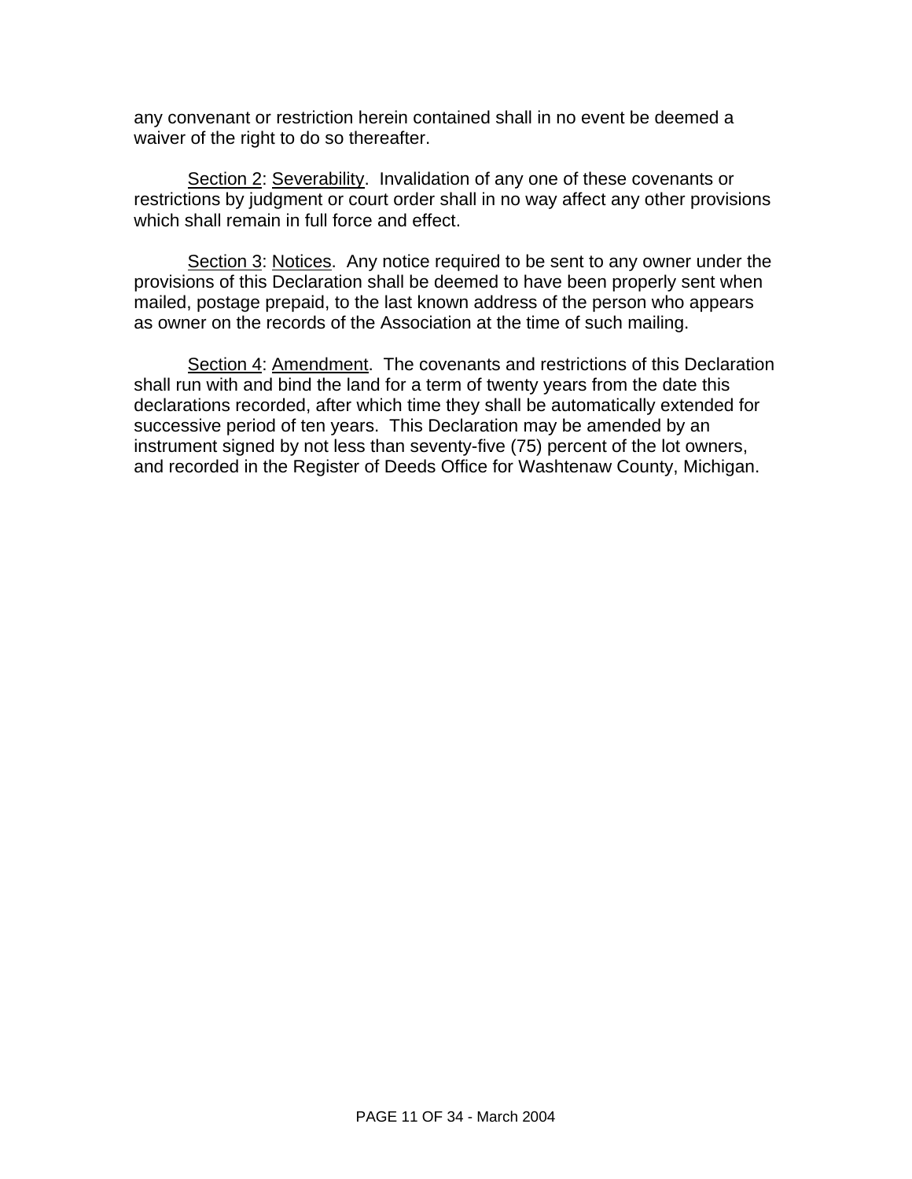any convenant or restriction herein contained shall in no event be deemed a waiver of the right to do so thereafter.

Section 2: Severability. Invalidation of any one of these covenants or restrictions by judgment or court order shall in no way affect any other provisions which shall remain in full force and effect.

Section 3: Notices. Any notice required to be sent to any owner under the provisions of this Declaration shall be deemed to have been properly sent when mailed, postage prepaid, to the last known address of the person who appears as owner on the records of the Association at the time of such mailing.

Section 4: Amendment. The covenants and restrictions of this Declaration shall run with and bind the land for a term of twenty years from the date this declarations recorded, after which time they shall be automatically extended for successive period of ten years. This Declaration may be amended by an instrument signed by not less than seventy-five (75) percent of the lot owners, and recorded in the Register of Deeds Office for Washtenaw County, Michigan.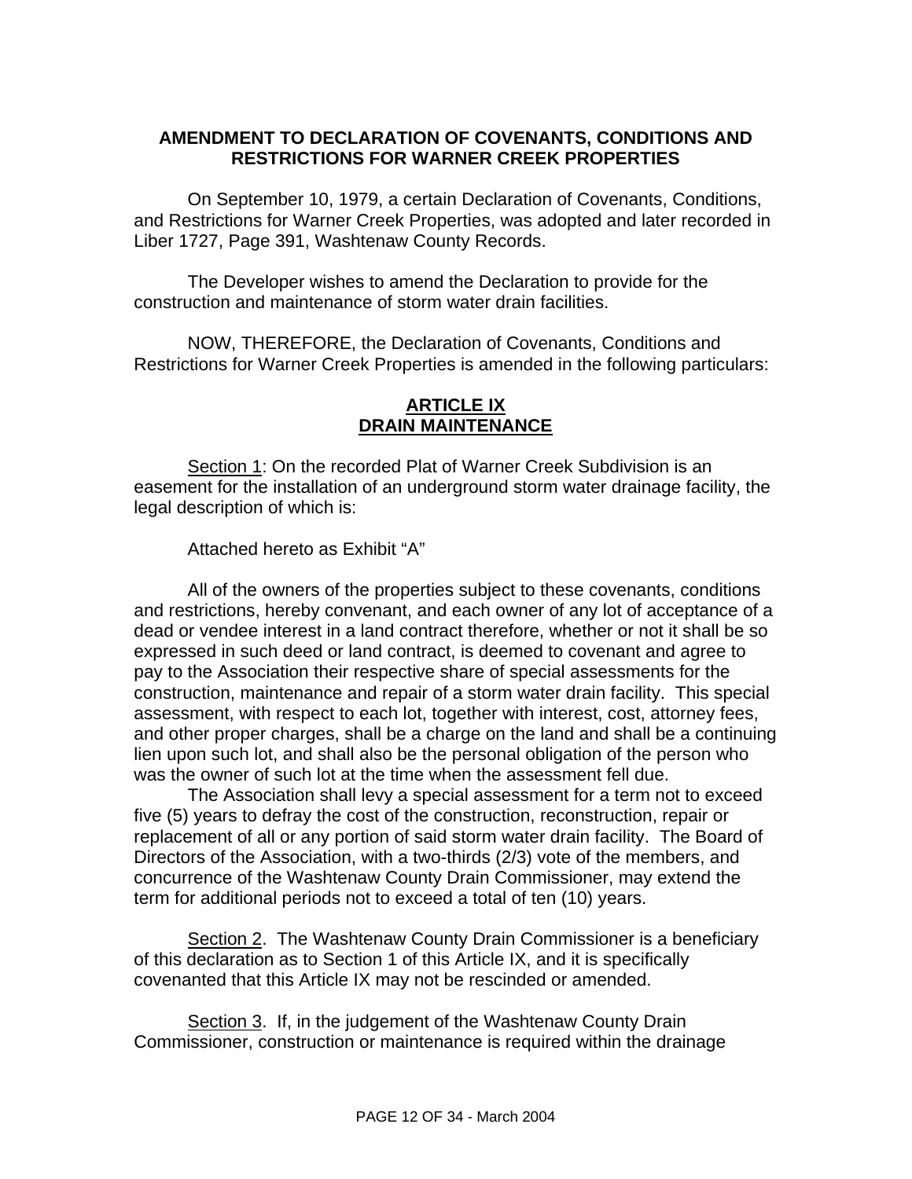## **AMENDMENT TO DECLARATION OF COVENANTS, CONDITIONS AND RESTRICTIONS FOR WARNER CREEK PROPERTIES**

On September 10, 1979, a certain Declaration of Covenants, Conditions, and Restrictions for Warner Creek Properties, was adopted and later recorded in Liber 1727, Page 391, Washtenaw County Records.

The Developer wishes to amend the Declaration to provide for the construction and maintenance of storm water drain facilities.

 NOW, THEREFORE, the Declaration of Covenants, Conditions and Restrictions for Warner Creek Properties is amended in the following particulars:

# **ARTICLE IX DRAIN MAINTENANCE**

Section 1: On the recorded Plat of Warner Creek Subdivision is an easement for the installation of an underground storm water drainage facility, the legal description of which is:

Attached hereto as Exhibit "A"

 All of the owners of the properties subject to these covenants, conditions and restrictions, hereby convenant, and each owner of any lot of acceptance of a dead or vendee interest in a land contract therefore, whether or not it shall be so expressed in such deed or land contract, is deemed to covenant and agree to pay to the Association their respective share of special assessments for the construction, maintenance and repair of a storm water drain facility. This special assessment, with respect to each lot, together with interest, cost, attorney fees, and other proper charges, shall be a charge on the land and shall be a continuing lien upon such lot, and shall also be the personal obligation of the person who was the owner of such lot at the time when the assessment fell due.

 The Association shall levy a special assessment for a term not to exceed five (5) years to defray the cost of the construction, reconstruction, repair or replacement of all or any portion of said storm water drain facility. The Board of Directors of the Association, with a two-thirds (2/3) vote of the members, and concurrence of the Washtenaw County Drain Commissioner, may extend the term for additional periods not to exceed a total of ten (10) years.

Section 2. The Washtenaw County Drain Commissioner is a beneficiary of this declaration as to Section 1 of this Article IX, and it is specifically covenanted that this Article IX may not be rescinded or amended.

Section 3. If, in the judgement of the Washtenaw County Drain Commissioner, construction or maintenance is required within the drainage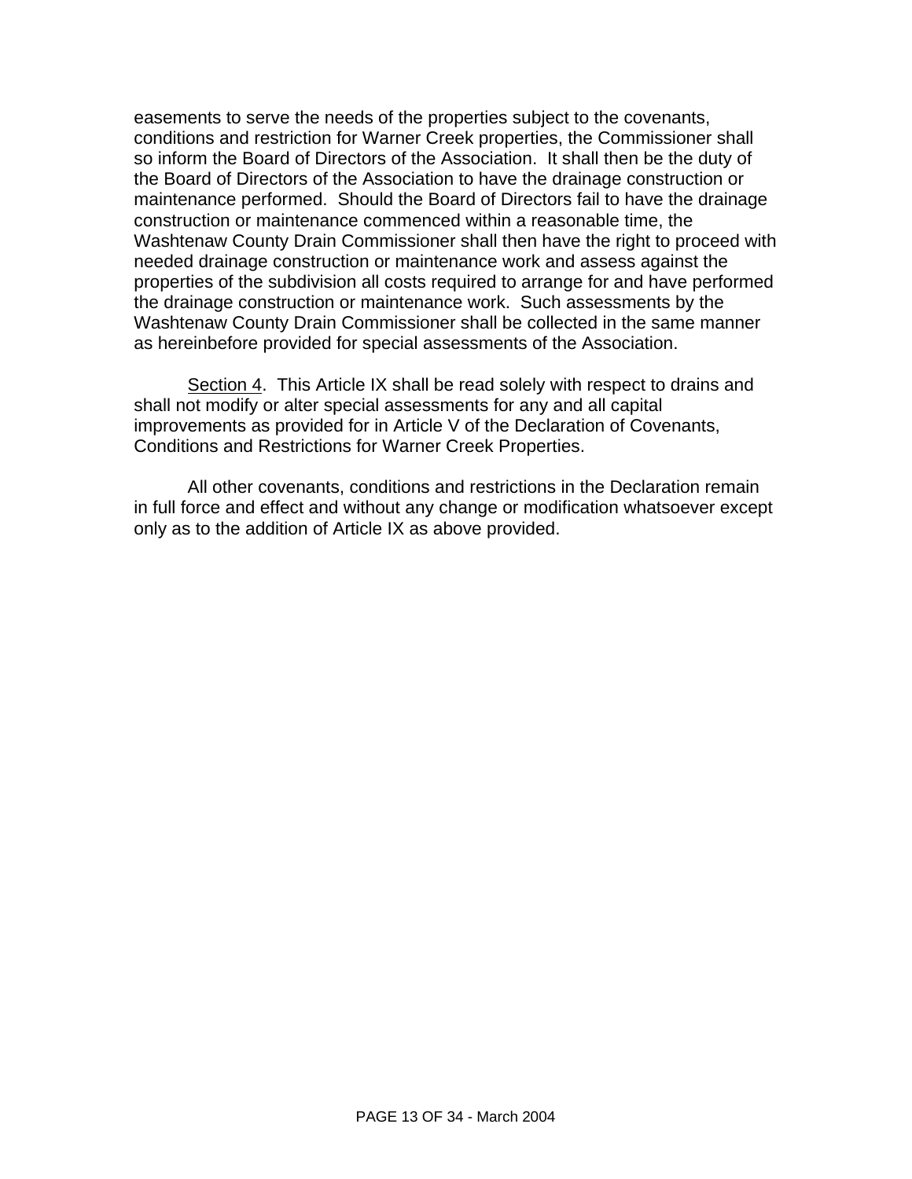easements to serve the needs of the properties subject to the covenants, conditions and restriction for Warner Creek properties, the Commissioner shall so inform the Board of Directors of the Association. It shall then be the duty of the Board of Directors of the Association to have the drainage construction or maintenance performed. Should the Board of Directors fail to have the drainage construction or maintenance commenced within a reasonable time, the Washtenaw County Drain Commissioner shall then have the right to proceed with needed drainage construction or maintenance work and assess against the properties of the subdivision all costs required to arrange for and have performed the drainage construction or maintenance work. Such assessments by the Washtenaw County Drain Commissioner shall be collected in the same manner as hereinbefore provided for special assessments of the Association.

Section 4. This Article IX shall be read solely with respect to drains and shall not modify or alter special assessments for any and all capital improvements as provided for in Article V of the Declaration of Covenants, Conditions and Restrictions for Warner Creek Properties.

 All other covenants, conditions and restrictions in the Declaration remain in full force and effect and without any change or modification whatsoever except only as to the addition of Article IX as above provided.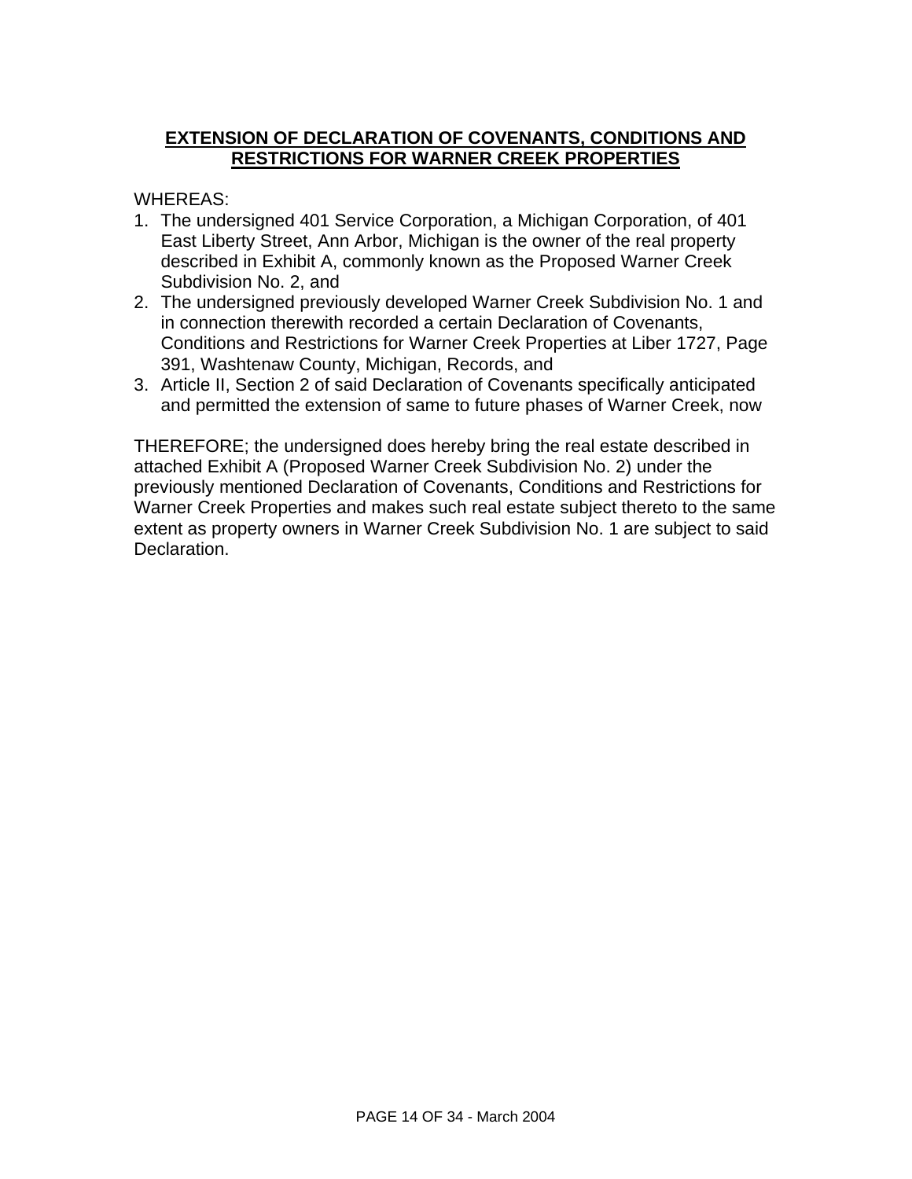# **EXTENSION OF DECLARATION OF COVENANTS, CONDITIONS AND RESTRICTIONS FOR WARNER CREEK PROPERTIES**

WHEREAS:

- 1. The undersigned 401 Service Corporation, a Michigan Corporation, of 401 East Liberty Street, Ann Arbor, Michigan is the owner of the real property described in Exhibit A, commonly known as the Proposed Warner Creek Subdivision No. 2, and
- 2. The undersigned previously developed Warner Creek Subdivision No. 1 and in connection therewith recorded a certain Declaration of Covenants, Conditions and Restrictions for Warner Creek Properties at Liber 1727, Page 391, Washtenaw County, Michigan, Records, and
- 3. Article II, Section 2 of said Declaration of Covenants specifically anticipated and permitted the extension of same to future phases of Warner Creek, now

THEREFORE; the undersigned does hereby bring the real estate described in attached Exhibit A (Proposed Warner Creek Subdivision No. 2) under the previously mentioned Declaration of Covenants, Conditions and Restrictions for Warner Creek Properties and makes such real estate subject thereto to the same extent as property owners in Warner Creek Subdivision No. 1 are subject to said Declaration.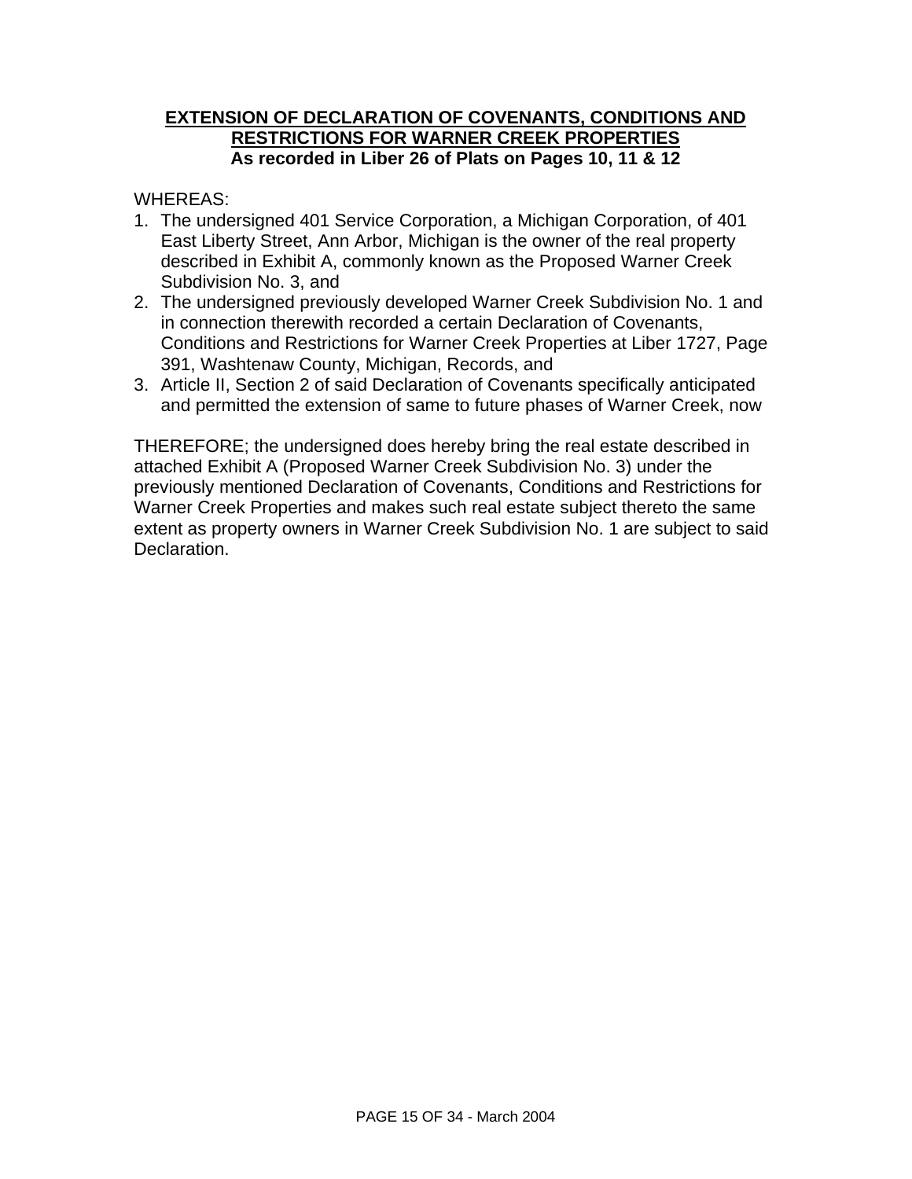# **EXTENSION OF DECLARATION OF COVENANTS, CONDITIONS AND RESTRICTIONS FOR WARNER CREEK PROPERTIES As recorded in Liber 26 of Plats on Pages 10, 11 & 12**

WHEREAS:

- 1. The undersigned 401 Service Corporation, a Michigan Corporation, of 401 East Liberty Street, Ann Arbor, Michigan is the owner of the real property described in Exhibit A, commonly known as the Proposed Warner Creek Subdivision No. 3, and
- 2. The undersigned previously developed Warner Creek Subdivision No. 1 and in connection therewith recorded a certain Declaration of Covenants, Conditions and Restrictions for Warner Creek Properties at Liber 1727, Page 391, Washtenaw County, Michigan, Records, and
- 3. Article II, Section 2 of said Declaration of Covenants specifically anticipated and permitted the extension of same to future phases of Warner Creek, now

THEREFORE; the undersigned does hereby bring the real estate described in attached Exhibit A (Proposed Warner Creek Subdivision No. 3) under the previously mentioned Declaration of Covenants, Conditions and Restrictions for Warner Creek Properties and makes such real estate subject thereto the same extent as property owners in Warner Creek Subdivision No. 1 are subject to said Declaration.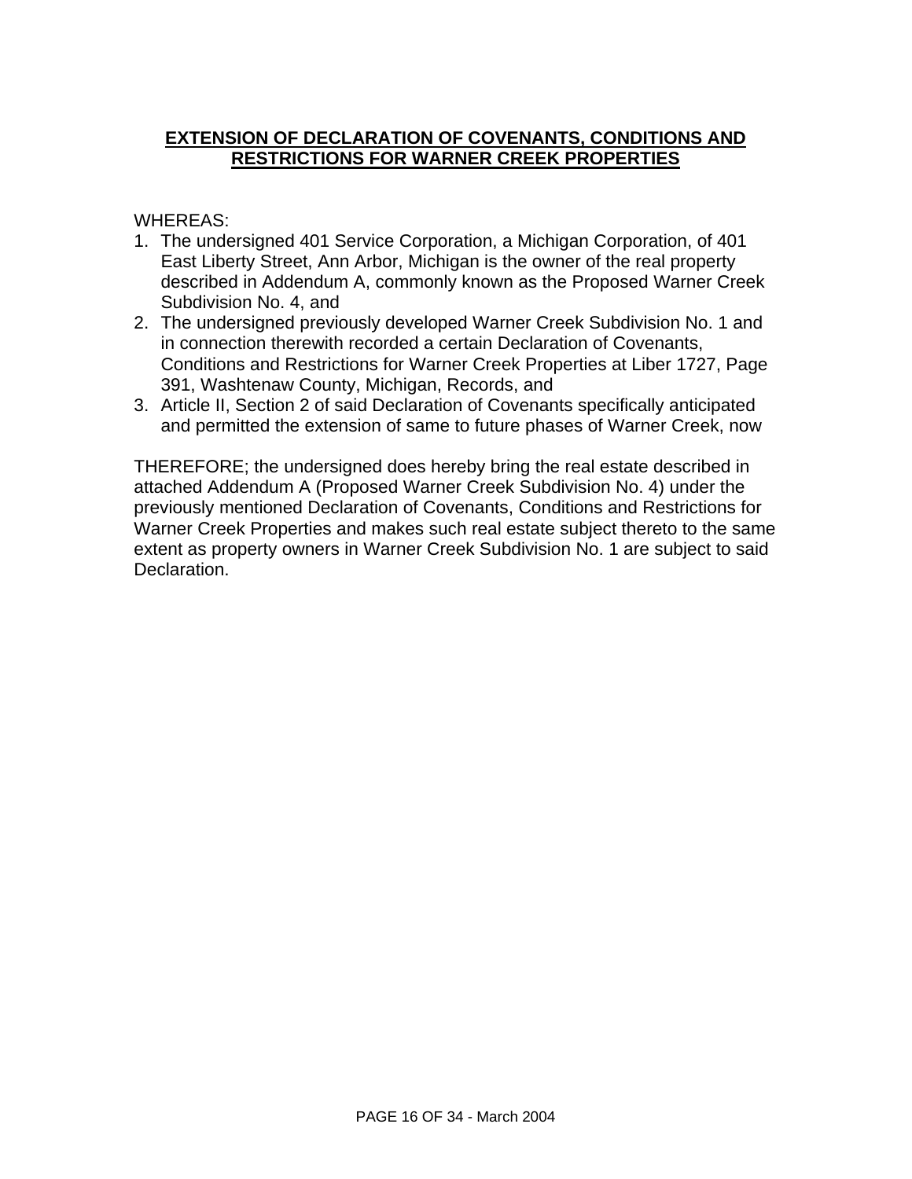# **EXTENSION OF DECLARATION OF COVENANTS, CONDITIONS AND RESTRICTIONS FOR WARNER CREEK PROPERTIES**

WHEREAS:

- 1. The undersigned 401 Service Corporation, a Michigan Corporation, of 401 East Liberty Street, Ann Arbor, Michigan is the owner of the real property described in Addendum A, commonly known as the Proposed Warner Creek Subdivision No. 4, and
- 2. The undersigned previously developed Warner Creek Subdivision No. 1 and in connection therewith recorded a certain Declaration of Covenants, Conditions and Restrictions for Warner Creek Properties at Liber 1727, Page 391, Washtenaw County, Michigan, Records, and
- 3. Article II, Section 2 of said Declaration of Covenants specifically anticipated and permitted the extension of same to future phases of Warner Creek, now

THEREFORE; the undersigned does hereby bring the real estate described in attached Addendum A (Proposed Warner Creek Subdivision No. 4) under the previously mentioned Declaration of Covenants, Conditions and Restrictions for Warner Creek Properties and makes such real estate subject thereto to the same extent as property owners in Warner Creek Subdivision No. 1 are subject to said Declaration.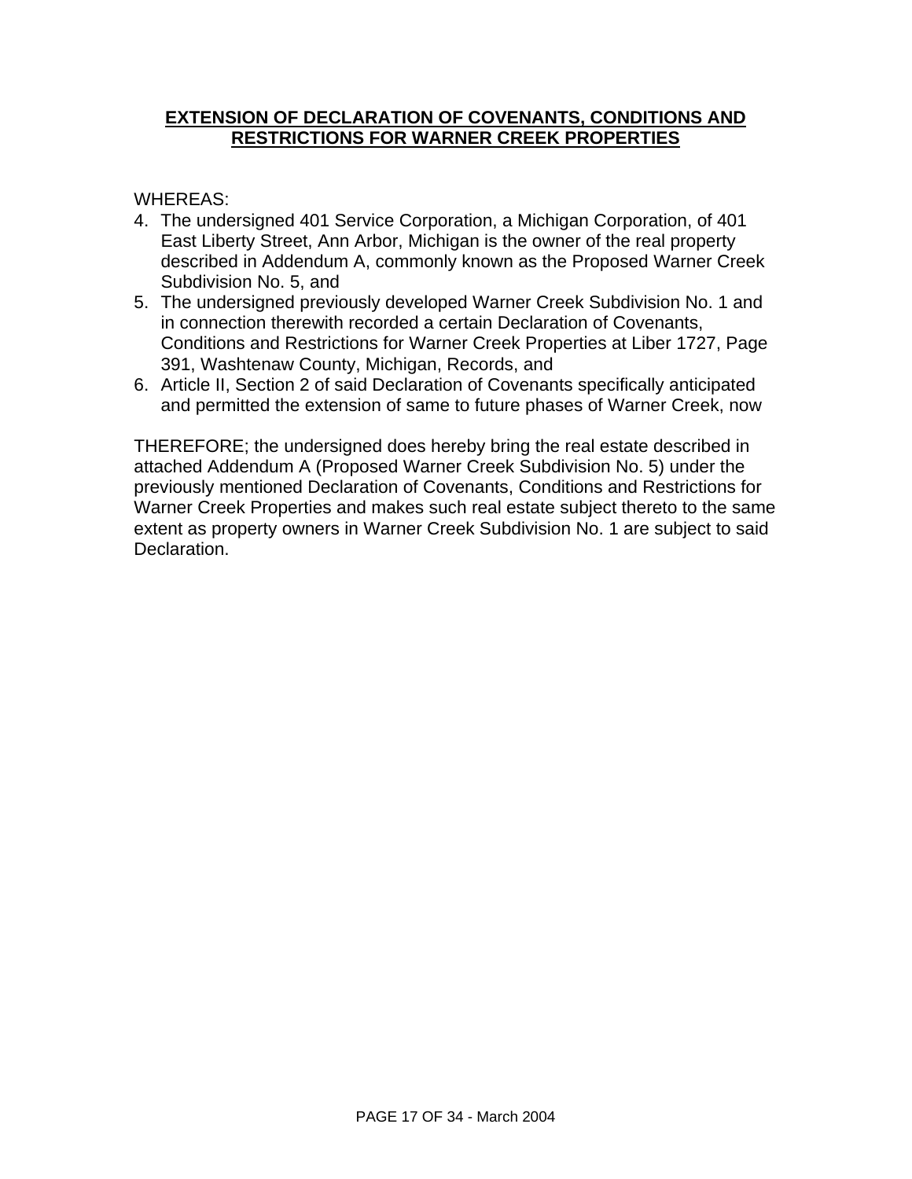#### **EXTENSION OF DECLARATION OF COVENANTS, CONDITIONS AND RESTRICTIONS FOR WARNER CREEK PROPERTIES**

WHEREAS:

- 4. The undersigned 401 Service Corporation, a Michigan Corporation, of 401 East Liberty Street, Ann Arbor, Michigan is the owner of the real property described in Addendum A, commonly known as the Proposed Warner Creek Subdivision No. 5, and
- 5. The undersigned previously developed Warner Creek Subdivision No. 1 and in connection therewith recorded a certain Declaration of Covenants, Conditions and Restrictions for Warner Creek Properties at Liber 1727, Page 391, Washtenaw County, Michigan, Records, and
- 6. Article II, Section 2 of said Declaration of Covenants specifically anticipated and permitted the extension of same to future phases of Warner Creek, now

THEREFORE; the undersigned does hereby bring the real estate described in attached Addendum A (Proposed Warner Creek Subdivision No. 5) under the previously mentioned Declaration of Covenants, Conditions and Restrictions for Warner Creek Properties and makes such real estate subject thereto to the same extent as property owners in Warner Creek Subdivision No. 1 are subject to said Declaration.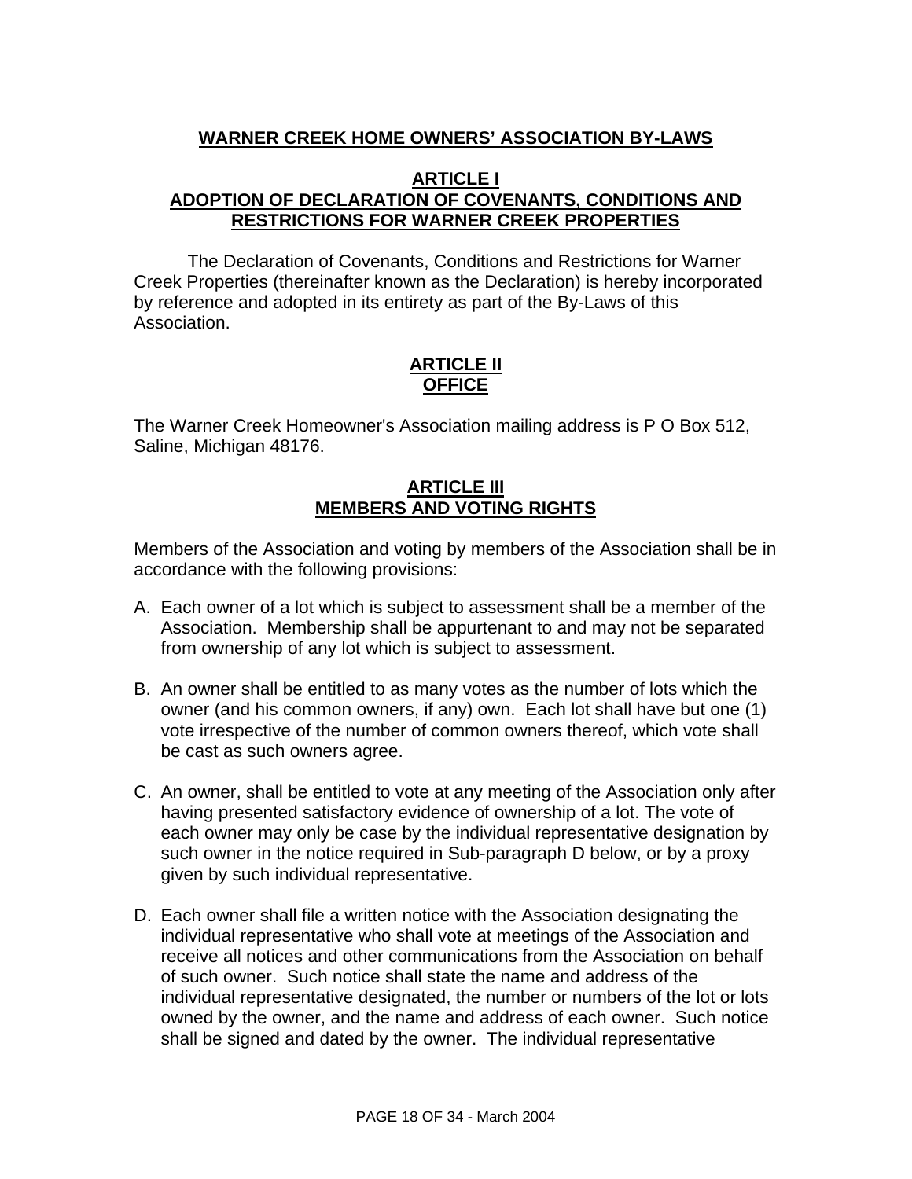# **WARNER CREEK HOME OWNERS' ASSOCIATION BY-LAWS**

#### **ARTICLE I ADOPTION OF DECLARATION OF COVENANTS, CONDITIONS AND RESTRICTIONS FOR WARNER CREEK PROPERTIES**

The Declaration of Covenants, Conditions and Restrictions for Warner Creek Properties (thereinafter known as the Declaration) is hereby incorporated by reference and adopted in its entirety as part of the By-Laws of this Association.

# **ARTICLE II OFFICE**

The Warner Creek Homeowner's Association mailing address is P O Box 512, Saline, Michigan 48176.

### **ARTICLE III MEMBERS AND VOTING RIGHTS**

Members of the Association and voting by members of the Association shall be in accordance with the following provisions:

- A. Each owner of a lot which is subject to assessment shall be a member of the Association. Membership shall be appurtenant to and may not be separated from ownership of any lot which is subject to assessment.
- B. An owner shall be entitled to as many votes as the number of lots which the owner (and his common owners, if any) own. Each lot shall have but one (1) vote irrespective of the number of common owners thereof, which vote shall be cast as such owners agree.
- C. An owner, shall be entitled to vote at any meeting of the Association only after having presented satisfactory evidence of ownership of a lot. The vote of each owner may only be case by the individual representative designation by such owner in the notice required in Sub-paragraph D below, or by a proxy given by such individual representative.
- D. Each owner shall file a written notice with the Association designating the individual representative who shall vote at meetings of the Association and receive all notices and other communications from the Association on behalf of such owner. Such notice shall state the name and address of the individual representative designated, the number or numbers of the lot or lots owned by the owner, and the name and address of each owner. Such notice shall be signed and dated by the owner. The individual representative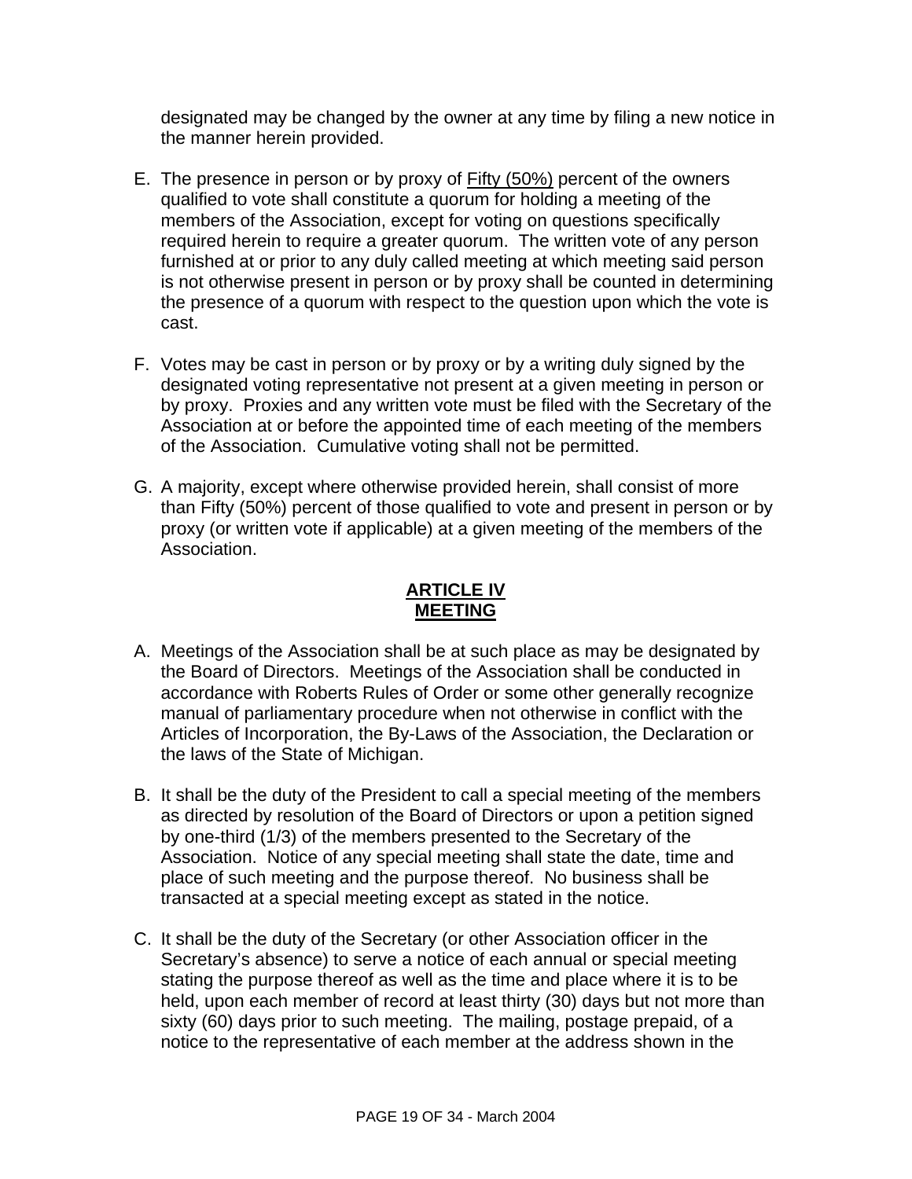designated may be changed by the owner at any time by filing a new notice in the manner herein provided.

- E. The presence in person or by proxy of **Fifty (50%)** percent of the owners qualified to vote shall constitute a quorum for holding a meeting of the members of the Association, except for voting on questions specifically required herein to require a greater quorum. The written vote of any person furnished at or prior to any duly called meeting at which meeting said person is not otherwise present in person or by proxy shall be counted in determining the presence of a quorum with respect to the question upon which the vote is cast.
- F. Votes may be cast in person or by proxy or by a writing duly signed by the designated voting representative not present at a given meeting in person or by proxy. Proxies and any written vote must be filed with the Secretary of the Association at or before the appointed time of each meeting of the members of the Association. Cumulative voting shall not be permitted.
- G. A majority, except where otherwise provided herein, shall consist of more than Fifty (50%) percent of those qualified to vote and present in person or by proxy (or written vote if applicable) at a given meeting of the members of the Association.

# **ARTICLE IV MEETING**

- A. Meetings of the Association shall be at such place as may be designated by the Board of Directors. Meetings of the Association shall be conducted in accordance with Roberts Rules of Order or some other generally recognize manual of parliamentary procedure when not otherwise in conflict with the Articles of Incorporation, the By-Laws of the Association, the Declaration or the laws of the State of Michigan.
- B. It shall be the duty of the President to call a special meeting of the members as directed by resolution of the Board of Directors or upon a petition signed by one-third (1/3) of the members presented to the Secretary of the Association. Notice of any special meeting shall state the date, time and place of such meeting and the purpose thereof. No business shall be transacted at a special meeting except as stated in the notice.
- C. It shall be the duty of the Secretary (or other Association officer in the Secretary's absence) to serve a notice of each annual or special meeting stating the purpose thereof as well as the time and place where it is to be held, upon each member of record at least thirty (30) days but not more than sixty (60) days prior to such meeting. The mailing, postage prepaid, of a notice to the representative of each member at the address shown in the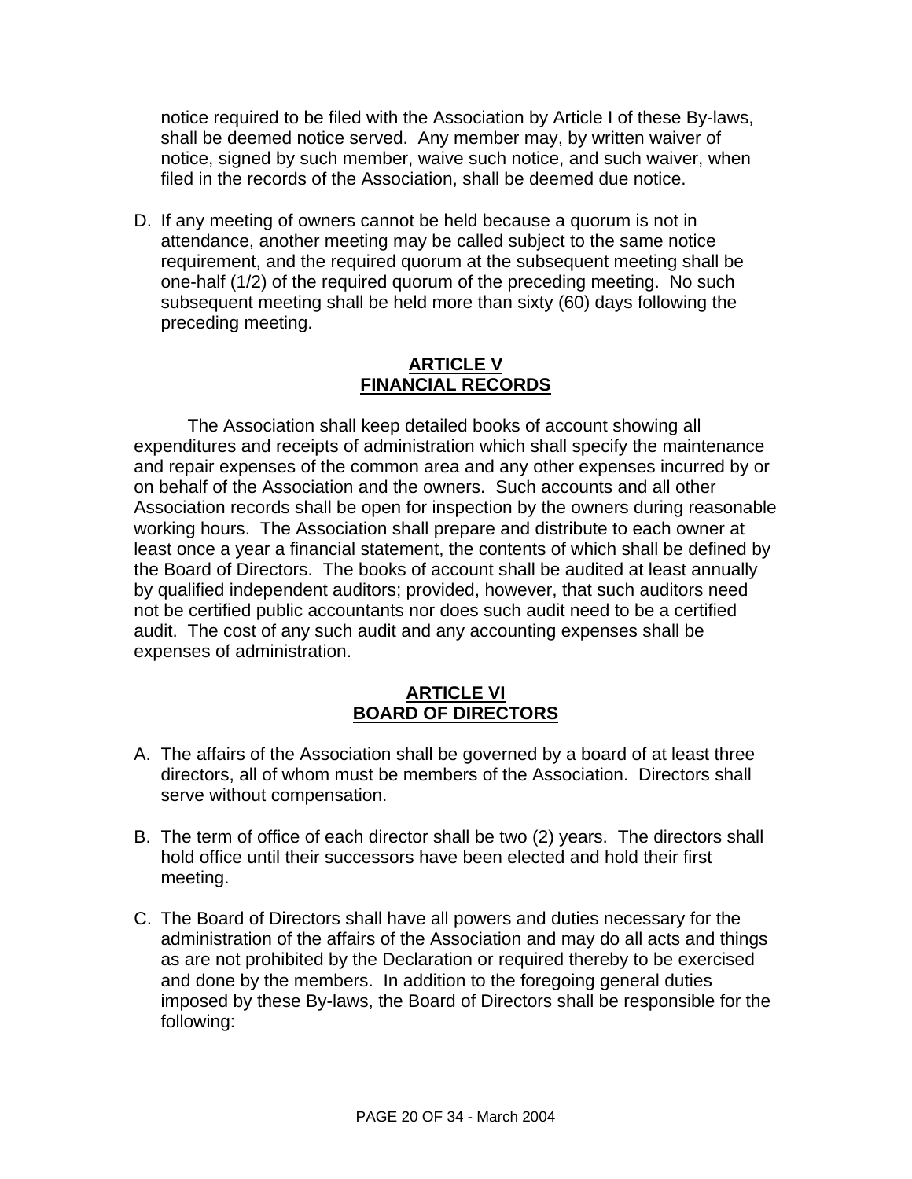notice required to be filed with the Association by Article I of these By-laws, shall be deemed notice served. Any member may, by written waiver of notice, signed by such member, waive such notice, and such waiver, when filed in the records of the Association, shall be deemed due notice.

D. If any meeting of owners cannot be held because a quorum is not in attendance, another meeting may be called subject to the same notice requirement, and the required quorum at the subsequent meeting shall be one-half (1/2) of the required quorum of the preceding meeting. No such subsequent meeting shall be held more than sixty (60) days following the preceding meeting.

#### **ARTICLE V FINANCIAL RECORDS**

The Association shall keep detailed books of account showing all expenditures and receipts of administration which shall specify the maintenance and repair expenses of the common area and any other expenses incurred by or on behalf of the Association and the owners. Such accounts and all other Association records shall be open for inspection by the owners during reasonable working hours. The Association shall prepare and distribute to each owner at least once a year a financial statement, the contents of which shall be defined by the Board of Directors. The books of account shall be audited at least annually by qualified independent auditors; provided, however, that such auditors need not be certified public accountants nor does such audit need to be a certified audit. The cost of any such audit and any accounting expenses shall be expenses of administration.

### **ARTICLE VI BOARD OF DIRECTORS**

- A. The affairs of the Association shall be governed by a board of at least three directors, all of whom must be members of the Association. Directors shall serve without compensation.
- B. The term of office of each director shall be two (2) years. The directors shall hold office until their successors have been elected and hold their first meeting.
- C. The Board of Directors shall have all powers and duties necessary for the administration of the affairs of the Association and may do all acts and things as are not prohibited by the Declaration or required thereby to be exercised and done by the members. In addition to the foregoing general duties imposed by these By-laws, the Board of Directors shall be responsible for the following: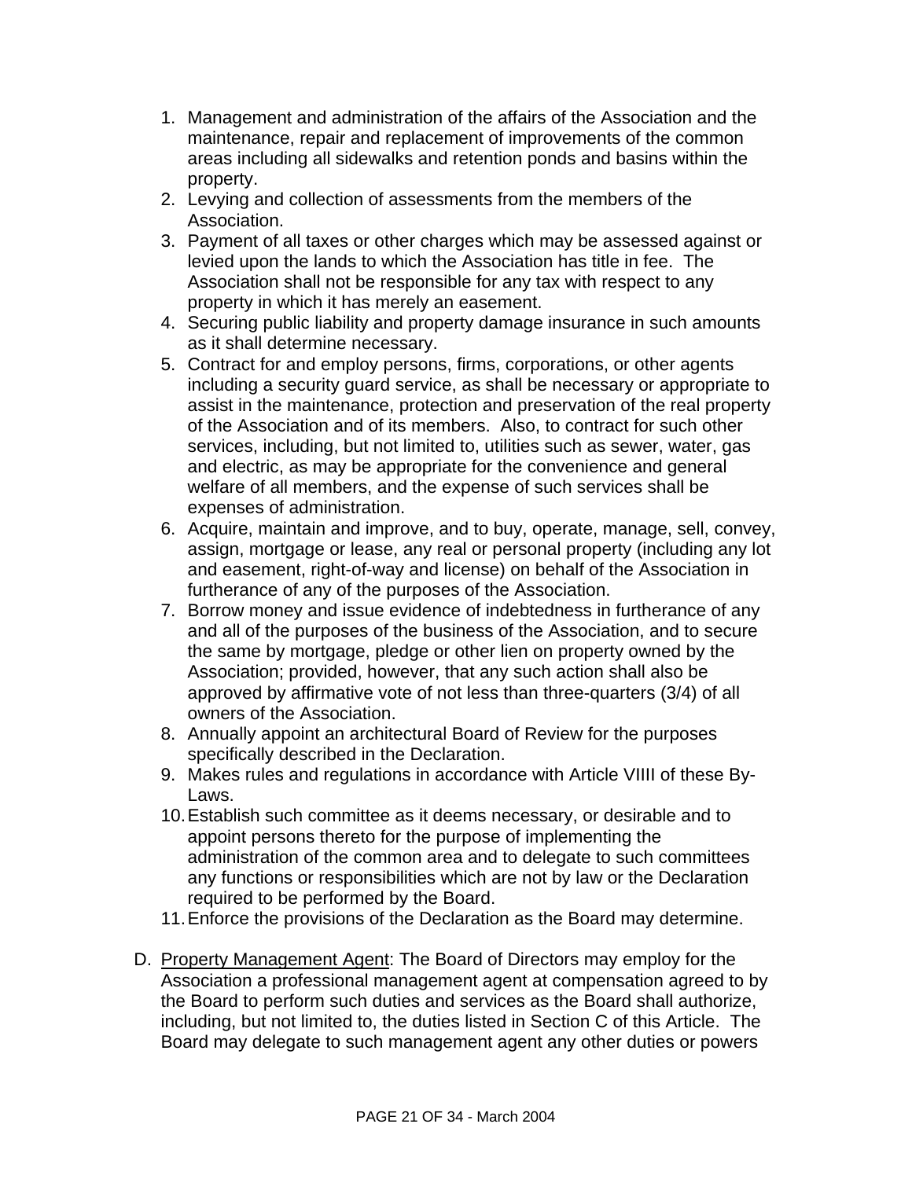- 1. Management and administration of the affairs of the Association and the maintenance, repair and replacement of improvements of the common areas including all sidewalks and retention ponds and basins within the property.
- 2. Levying and collection of assessments from the members of the Association.
- 3. Payment of all taxes or other charges which may be assessed against or levied upon the lands to which the Association has title in fee. The Association shall not be responsible for any tax with respect to any property in which it has merely an easement.
- 4. Securing public liability and property damage insurance in such amounts as it shall determine necessary.
- 5. Contract for and employ persons, firms, corporations, or other agents including a security guard service, as shall be necessary or appropriate to assist in the maintenance, protection and preservation of the real property of the Association and of its members. Also, to contract for such other services, including, but not limited to, utilities such as sewer, water, gas and electric, as may be appropriate for the convenience and general welfare of all members, and the expense of such services shall be expenses of administration.
- 6. Acquire, maintain and improve, and to buy, operate, manage, sell, convey, assign, mortgage or lease, any real or personal property (including any lot and easement, right-of-way and license) on behalf of the Association in furtherance of any of the purposes of the Association.
- 7. Borrow money and issue evidence of indebtedness in furtherance of any and all of the purposes of the business of the Association, and to secure the same by mortgage, pledge or other lien on property owned by the Association; provided, however, that any such action shall also be approved by affirmative vote of not less than three-quarters (3/4) of all owners of the Association.
- 8. Annually appoint an architectural Board of Review for the purposes specifically described in the Declaration.
- 9. Makes rules and regulations in accordance with Article VIIII of these By-Laws.
- 10. Establish such committee as it deems necessary, or desirable and to appoint persons thereto for the purpose of implementing the administration of the common area and to delegate to such committees any functions or responsibilities which are not by law or the Declaration required to be performed by the Board.
- 11. Enforce the provisions of the Declaration as the Board may determine.
- D. Property Management Agent: The Board of Directors may employ for the Association a professional management agent at compensation agreed to by the Board to perform such duties and services as the Board shall authorize, including, but not limited to, the duties listed in Section C of this Article. The Board may delegate to such management agent any other duties or powers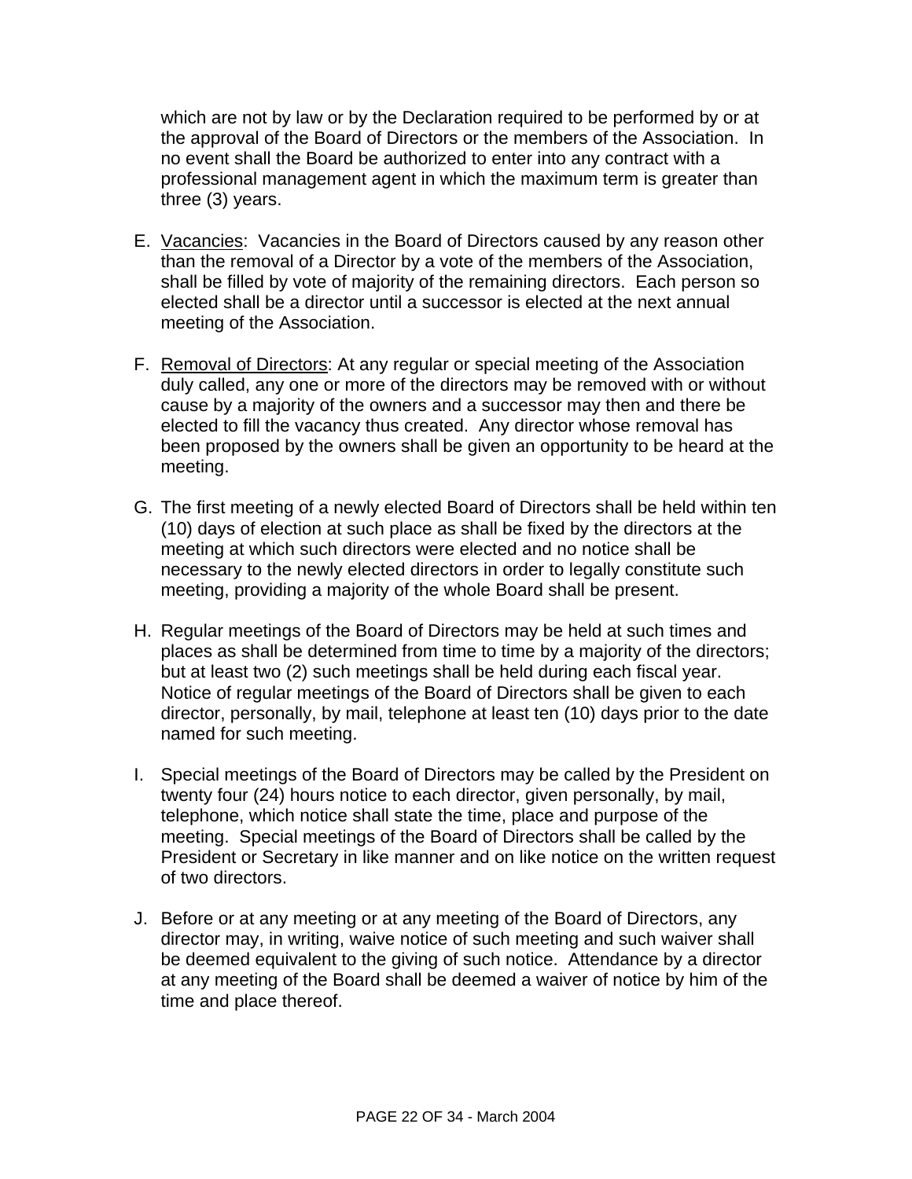which are not by law or by the Declaration required to be performed by or at the approval of the Board of Directors or the members of the Association. In no event shall the Board be authorized to enter into any contract with a professional management agent in which the maximum term is greater than three (3) years.

- E. Vacancies: Vacancies in the Board of Directors caused by any reason other than the removal of a Director by a vote of the members of the Association, shall be filled by vote of majority of the remaining directors. Each person so elected shall be a director until a successor is elected at the next annual meeting of the Association.
- F. Removal of Directors: At any regular or special meeting of the Association duly called, any one or more of the directors may be removed with or without cause by a majority of the owners and a successor may then and there be elected to fill the vacancy thus created. Any director whose removal has been proposed by the owners shall be given an opportunity to be heard at the meeting.
- G. The first meeting of a newly elected Board of Directors shall be held within ten (10) days of election at such place as shall be fixed by the directors at the meeting at which such directors were elected and no notice shall be necessary to the newly elected directors in order to legally constitute such meeting, providing a majority of the whole Board shall be present.
- H. Regular meetings of the Board of Directors may be held at such times and places as shall be determined from time to time by a majority of the directors; but at least two (2) such meetings shall be held during each fiscal year. Notice of regular meetings of the Board of Directors shall be given to each director, personally, by mail, telephone at least ten (10) days prior to the date named for such meeting.
- I. Special meetings of the Board of Directors may be called by the President on twenty four (24) hours notice to each director, given personally, by mail, telephone, which notice shall state the time, place and purpose of the meeting. Special meetings of the Board of Directors shall be called by the President or Secretary in like manner and on like notice on the written request of two directors.
- J. Before or at any meeting or at any meeting of the Board of Directors, any director may, in writing, waive notice of such meeting and such waiver shall be deemed equivalent to the giving of such notice. Attendance by a director at any meeting of the Board shall be deemed a waiver of notice by him of the time and place thereof.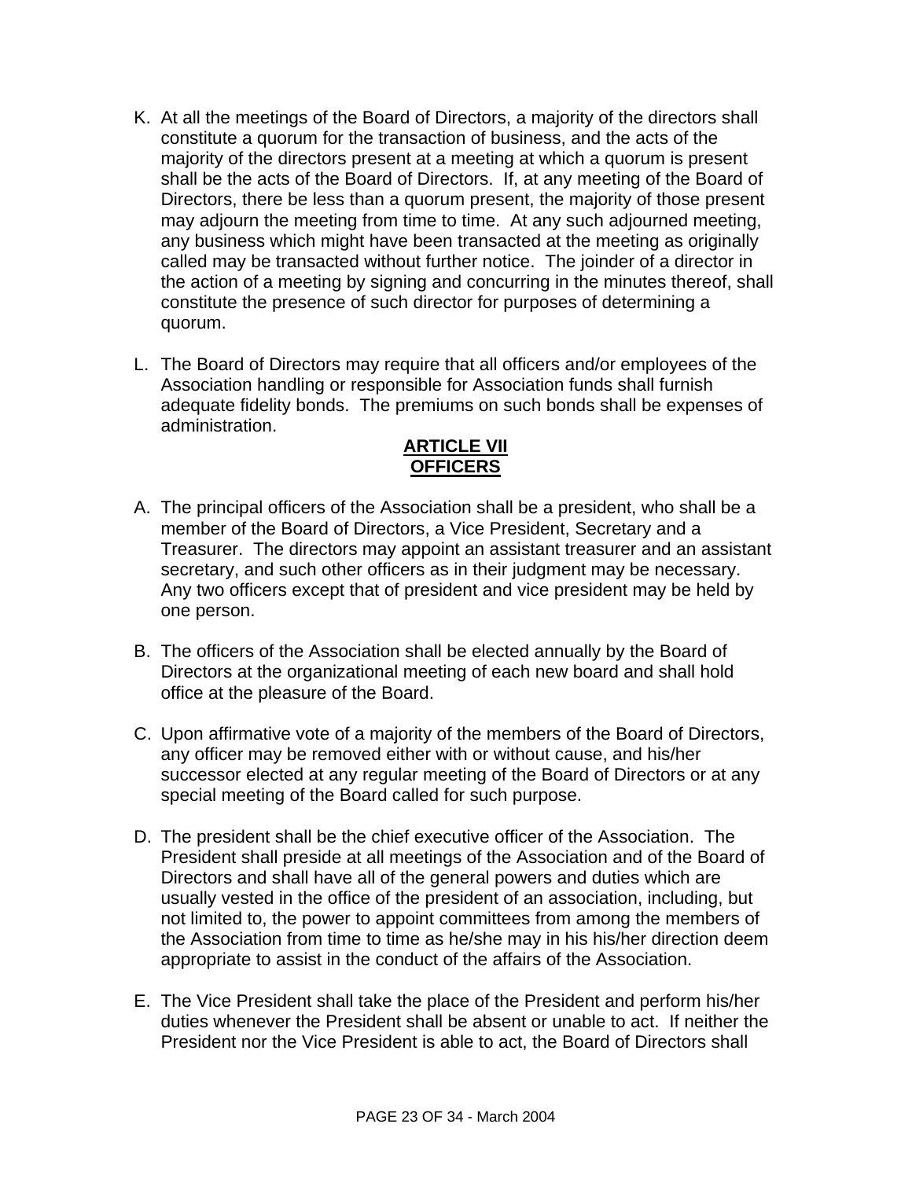- K. At all the meetings of the Board of Directors, a majority of the directors shall constitute a quorum for the transaction of business, and the acts of the majority of the directors present at a meeting at which a quorum is present shall be the acts of the Board of Directors. If, at any meeting of the Board of Directors, there be less than a quorum present, the majority of those present may adjourn the meeting from time to time. At any such adjourned meeting, any business which might have been transacted at the meeting as originally called may be transacted without further notice. The joinder of a director in the action of a meeting by signing and concurring in the minutes thereof, shall constitute the presence of such director for purposes of determining a quorum.
- L. The Board of Directors may require that all officers and/or employees of the Association handling or responsible for Association funds shall furnish adequate fidelity bonds. The premiums on such bonds shall be expenses of administration.

# **ARTICLE VII OFFICERS**

- A. The principal officers of the Association shall be a president, who shall be a member of the Board of Directors, a Vice President, Secretary and a Treasurer. The directors may appoint an assistant treasurer and an assistant secretary, and such other officers as in their judgment may be necessary. Any two officers except that of president and vice president may be held by one person.
- B. The officers of the Association shall be elected annually by the Board of Directors at the organizational meeting of each new board and shall hold office at the pleasure of the Board.
- C. Upon affirmative vote of a majority of the members of the Board of Directors, any officer may be removed either with or without cause, and his/her successor elected at any regular meeting of the Board of Directors or at any special meeting of the Board called for such purpose.
- D. The president shall be the chief executive officer of the Association. The President shall preside at all meetings of the Association and of the Board of Directors and shall have all of the general powers and duties which are usually vested in the office of the president of an association, including, but not limited to, the power to appoint committees from among the members of the Association from time to time as he/she may in his his/her direction deem appropriate to assist in the conduct of the affairs of the Association.
- E. The Vice President shall take the place of the President and perform his/her duties whenever the President shall be absent or unable to act. If neither the President nor the Vice President is able to act, the Board of Directors shall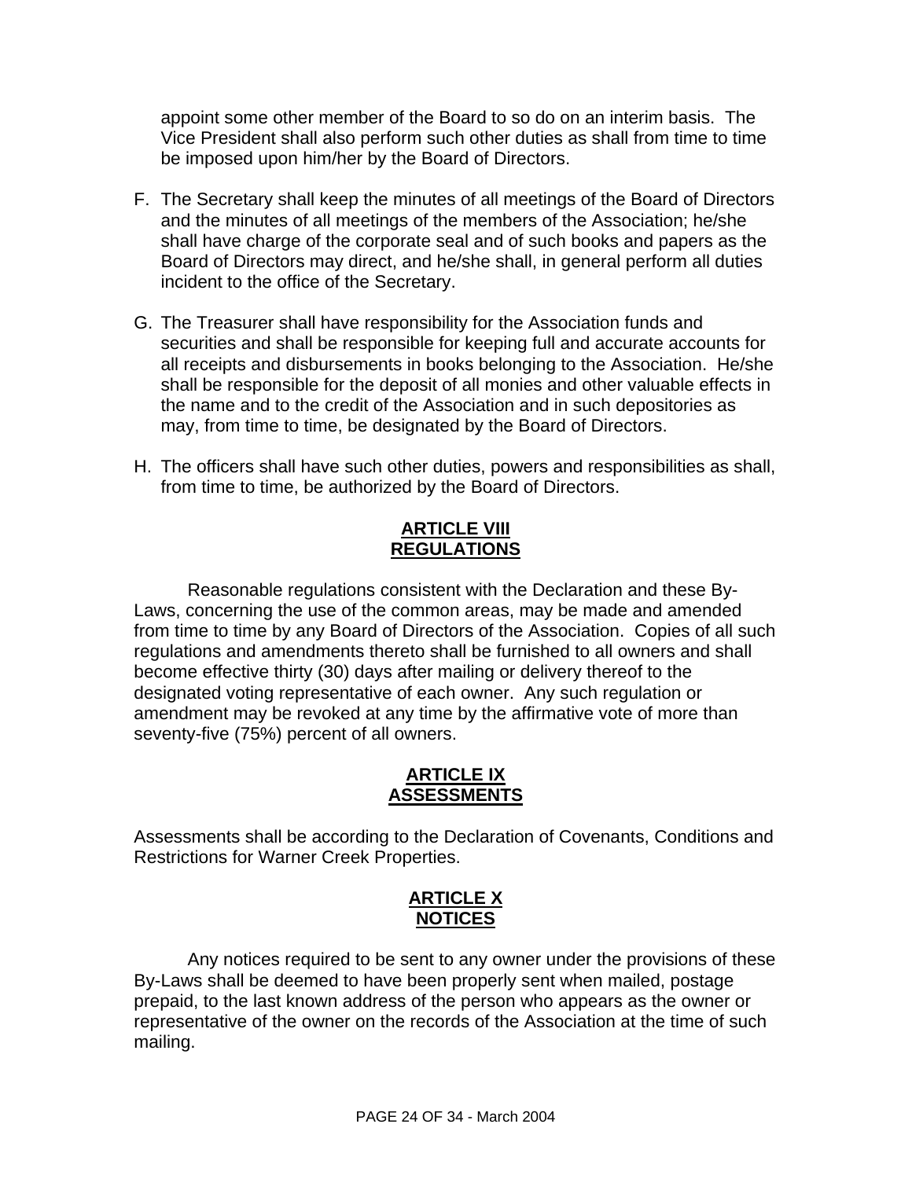appoint some other member of the Board to so do on an interim basis. The Vice President shall also perform such other duties as shall from time to time be imposed upon him/her by the Board of Directors.

- F. The Secretary shall keep the minutes of all meetings of the Board of Directors and the minutes of all meetings of the members of the Association; he/she shall have charge of the corporate seal and of such books and papers as the Board of Directors may direct, and he/she shall, in general perform all duties incident to the office of the Secretary.
- G. The Treasurer shall have responsibility for the Association funds and securities and shall be responsible for keeping full and accurate accounts for all receipts and disbursements in books belonging to the Association. He/she shall be responsible for the deposit of all monies and other valuable effects in the name and to the credit of the Association and in such depositories as may, from time to time, be designated by the Board of Directors.
- H. The officers shall have such other duties, powers and responsibilities as shall, from time to time, be authorized by the Board of Directors.

# **ARTICLE VIII REGULATIONS**

Reasonable regulations consistent with the Declaration and these By-Laws, concerning the use of the common areas, may be made and amended from time to time by any Board of Directors of the Association. Copies of all such regulations and amendments thereto shall be furnished to all owners and shall become effective thirty (30) days after mailing or delivery thereof to the designated voting representative of each owner. Any such regulation or amendment may be revoked at any time by the affirmative vote of more than seventy-five (75%) percent of all owners.

### **ARTICLE IX ASSESSMENTS**

Assessments shall be according to the Declaration of Covenants, Conditions and Restrictions for Warner Creek Properties.

# **ARTICLE X NOTICES**

Any notices required to be sent to any owner under the provisions of these By-Laws shall be deemed to have been properly sent when mailed, postage prepaid, to the last known address of the person who appears as the owner or representative of the owner on the records of the Association at the time of such mailing.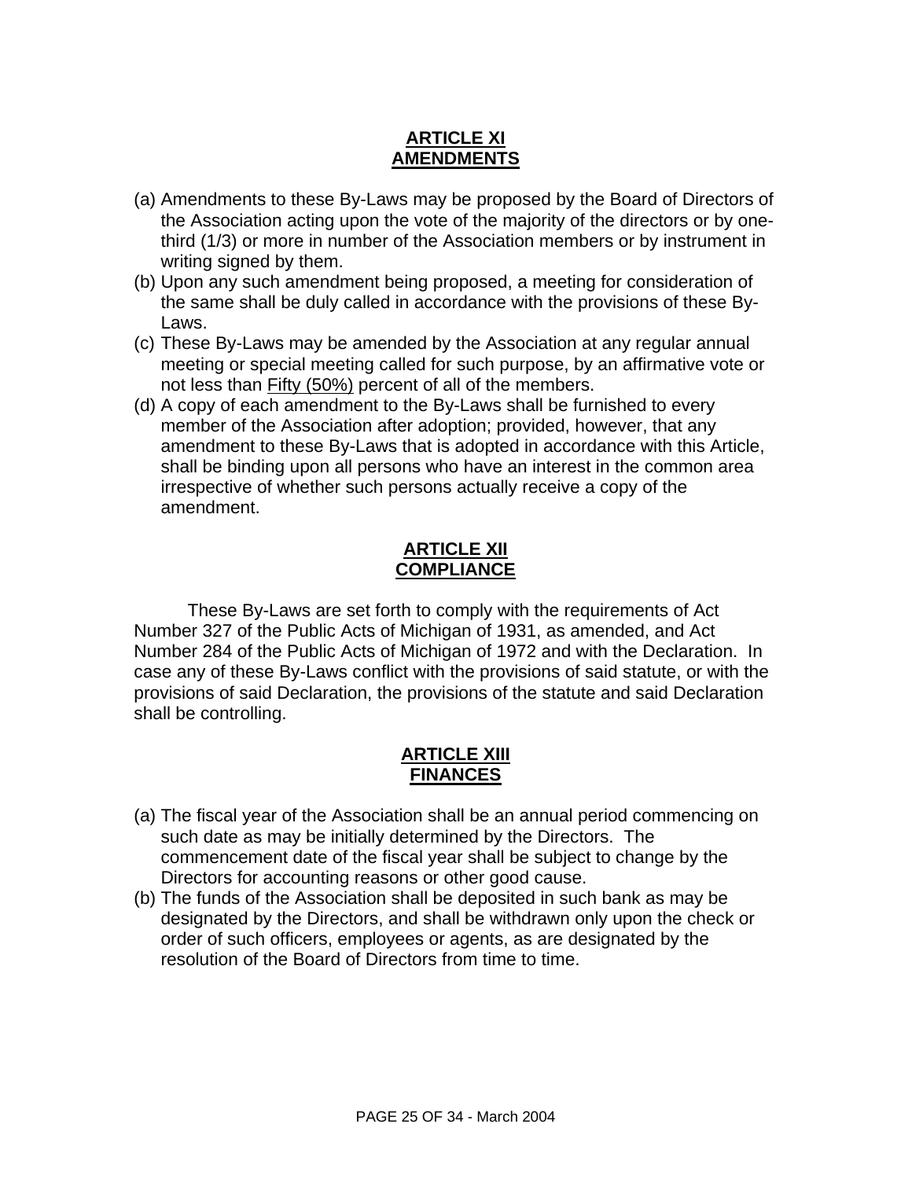# **ARTICLE XI AMENDMENTS**

- (a) Amendments to these By-Laws may be proposed by the Board of Directors of the Association acting upon the vote of the majority of the directors or by onethird (1/3) or more in number of the Association members or by instrument in writing signed by them.
- (b) Upon any such amendment being proposed, a meeting for consideration of the same shall be duly called in accordance with the provisions of these By-Laws.
- (c) These By-Laws may be amended by the Association at any regular annual meeting or special meeting called for such purpose, by an affirmative vote or not less than **Fifty (50%)** percent of all of the members.
- (d) A copy of each amendment to the By-Laws shall be furnished to every member of the Association after adoption; provided, however, that any amendment to these By-Laws that is adopted in accordance with this Article, shall be binding upon all persons who have an interest in the common area irrespective of whether such persons actually receive a copy of the amendment.

# **ARTICLE XII COMPLIANCE**

These By-Laws are set forth to comply with the requirements of Act Number 327 of the Public Acts of Michigan of 1931, as amended, and Act Number 284 of the Public Acts of Michigan of 1972 and with the Declaration. In case any of these By-Laws conflict with the provisions of said statute, or with the provisions of said Declaration, the provisions of the statute and said Declaration shall be controlling.

# **ARTICLE XIII FINANCES**

- (a) The fiscal year of the Association shall be an annual period commencing on such date as may be initially determined by the Directors. The commencement date of the fiscal year shall be subject to change by the Directors for accounting reasons or other good cause.
- (b) The funds of the Association shall be deposited in such bank as may be designated by the Directors, and shall be withdrawn only upon the check or order of such officers, employees or agents, as are designated by the resolution of the Board of Directors from time to time.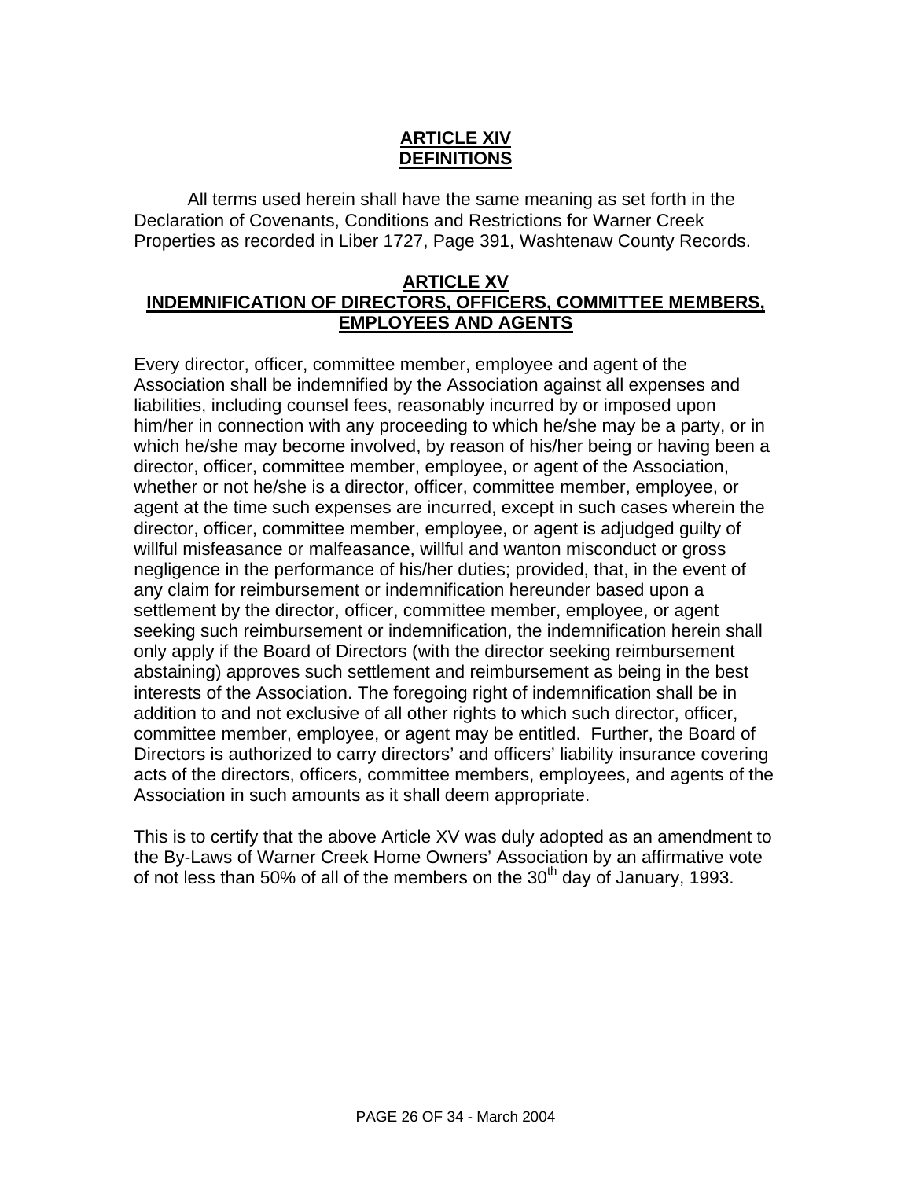### **ARTICLE XIV DEFINITIONS**

All terms used herein shall have the same meaning as set forth in the Declaration of Covenants, Conditions and Restrictions for Warner Creek Properties as recorded in Liber 1727, Page 391, Washtenaw County Records.

### **ARTICLE XV INDEMNIFICATION OF DIRECTORS, OFFICERS, COMMITTEE MEMBERS, EMPLOYEES AND AGENTS**

Every director, officer, committee member, employee and agent of the Association shall be indemnified by the Association against all expenses and liabilities, including counsel fees, reasonably incurred by or imposed upon him/her in connection with any proceeding to which he/she may be a party, or in which he/she may become involved, by reason of his/her being or having been a director, officer, committee member, employee, or agent of the Association, whether or not he/she is a director, officer, committee member, employee, or agent at the time such expenses are incurred, except in such cases wherein the director, officer, committee member, employee, or agent is adjudged guilty of willful misfeasance or malfeasance, willful and wanton misconduct or gross negligence in the performance of his/her duties; provided, that, in the event of any claim for reimbursement or indemnification hereunder based upon a settlement by the director, officer, committee member, employee, or agent seeking such reimbursement or indemnification, the indemnification herein shall only apply if the Board of Directors (with the director seeking reimbursement abstaining) approves such settlement and reimbursement as being in the best interests of the Association. The foregoing right of indemnification shall be in addition to and not exclusive of all other rights to which such director, officer, committee member, employee, or agent may be entitled. Further, the Board of Directors is authorized to carry directors' and officers' liability insurance covering acts of the directors, officers, committee members, employees, and agents of the Association in such amounts as it shall deem appropriate.

This is to certify that the above Article XV was duly adopted as an amendment to the By-Laws of Warner Creek Home Owners' Association by an affirmative vote of not less than 50% of all of the members on the  $30<sup>th</sup>$  day of January, 1993.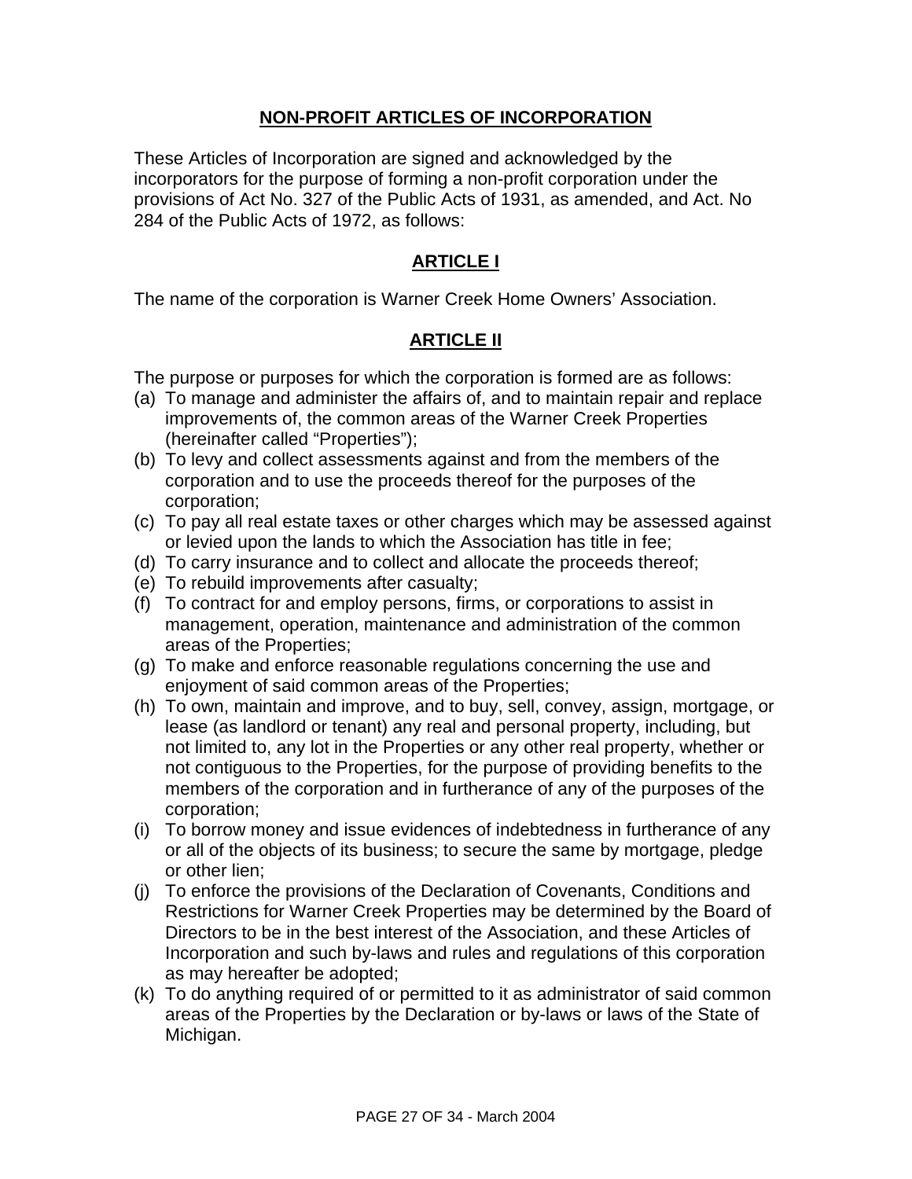### **NON-PROFIT ARTICLES OF INCORPORATION**

These Articles of Incorporation are signed and acknowledged by the incorporators for the purpose of forming a non-profit corporation under the provisions of Act No. 327 of the Public Acts of 1931, as amended, and Act. No 284 of the Public Acts of 1972, as follows:

# **ARTICLE I**

The name of the corporation is Warner Creek Home Owners' Association.

# **ARTICLE II**

The purpose or purposes for which the corporation is formed are as follows:

- (a) To manage and administer the affairs of, and to maintain repair and replace improvements of, the common areas of the Warner Creek Properties (hereinafter called "Properties");
- (b) To levy and collect assessments against and from the members of the corporation and to use the proceeds thereof for the purposes of the corporation;
- (c) To pay all real estate taxes or other charges which may be assessed against or levied upon the lands to which the Association has title in fee;
- (d) To carry insurance and to collect and allocate the proceeds thereof;
- (e) To rebuild improvements after casualty;
- (f) To contract for and employ persons, firms, or corporations to assist in management, operation, maintenance and administration of the common areas of the Properties;
- (g) To make and enforce reasonable regulations concerning the use and enjoyment of said common areas of the Properties;
- (h) To own, maintain and improve, and to buy, sell, convey, assign, mortgage, or lease (as landlord or tenant) any real and personal property, including, but not limited to, any lot in the Properties or any other real property, whether or not contiguous to the Properties, for the purpose of providing benefits to the members of the corporation and in furtherance of any of the purposes of the corporation;
- (i) To borrow money and issue evidences of indebtedness in furtherance of any or all of the objects of its business; to secure the same by mortgage, pledge or other lien;
- (j) To enforce the provisions of the Declaration of Covenants, Conditions and Restrictions for Warner Creek Properties may be determined by the Board of Directors to be in the best interest of the Association, and these Articles of Incorporation and such by-laws and rules and regulations of this corporation as may hereafter be adopted;
- (k) To do anything required of or permitted to it as administrator of said common areas of the Properties by the Declaration or by-laws or laws of the State of Michigan.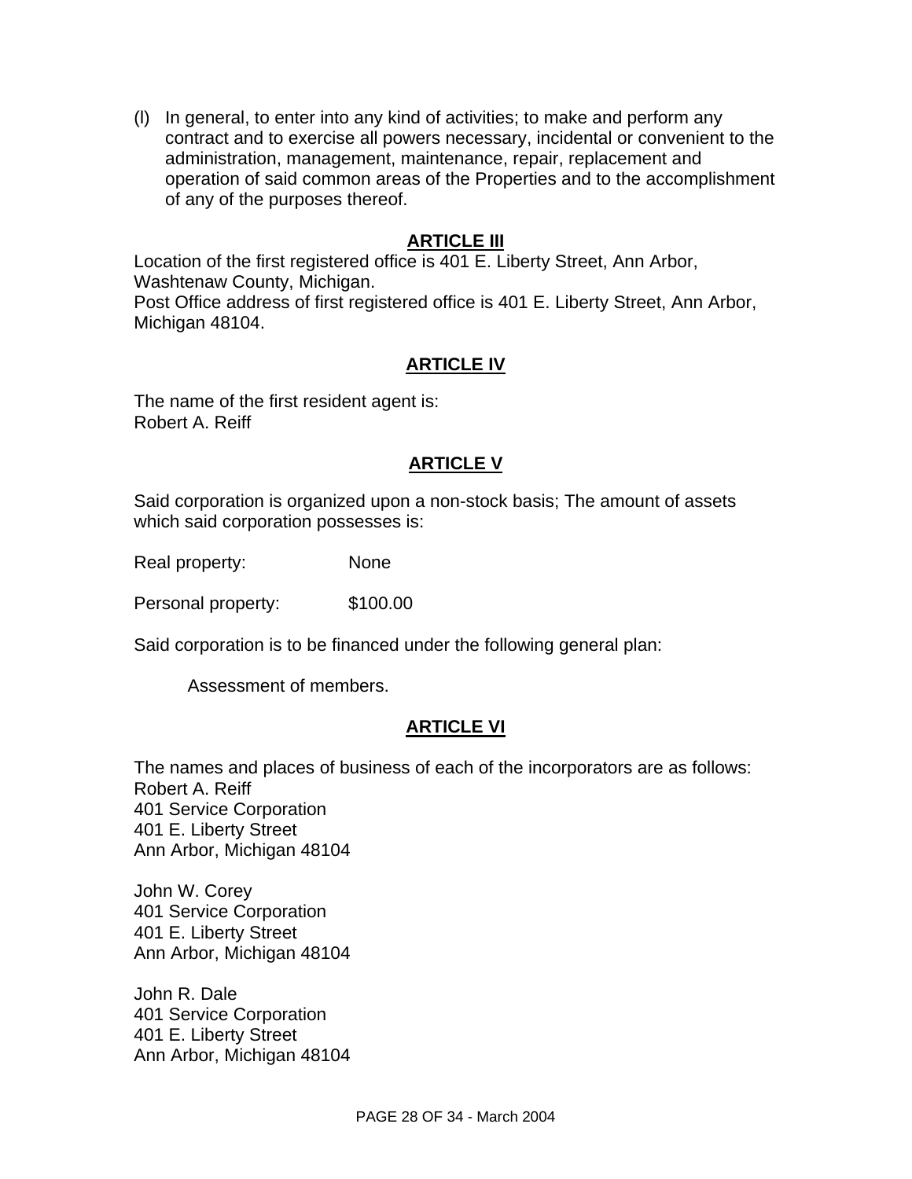(l) In general, to enter into any kind of activities; to make and perform any contract and to exercise all powers necessary, incidental or convenient to the administration, management, maintenance, repair, replacement and operation of said common areas of the Properties and to the accomplishment of any of the purposes thereof.

# **ARTICLE III**

Location of the first registered office is 401 E. Liberty Street, Ann Arbor, Washtenaw County, Michigan. Post Office address of first registered office is 401 E. Liberty Street, Ann Arbor, Michigan 48104.

### **ARTICLE IV**

The name of the first resident agent is: Robert A. Reiff

#### **ARTICLE V**

Said corporation is organized upon a non-stock basis; The amount of assets which said corporation possesses is:

Real property: None

Personal property: \$100.00

Said corporation is to be financed under the following general plan:

Assessment of members.

#### **ARTICLE VI**

The names and places of business of each of the incorporators are as follows: Robert A. Reiff 401 Service Corporation 401 E. Liberty Street Ann Arbor, Michigan 48104

John W. Corey 401 Service Corporation 401 E. Liberty Street Ann Arbor, Michigan 48104

John R. Dale 401 Service Corporation 401 E. Liberty Street Ann Arbor, Michigan 48104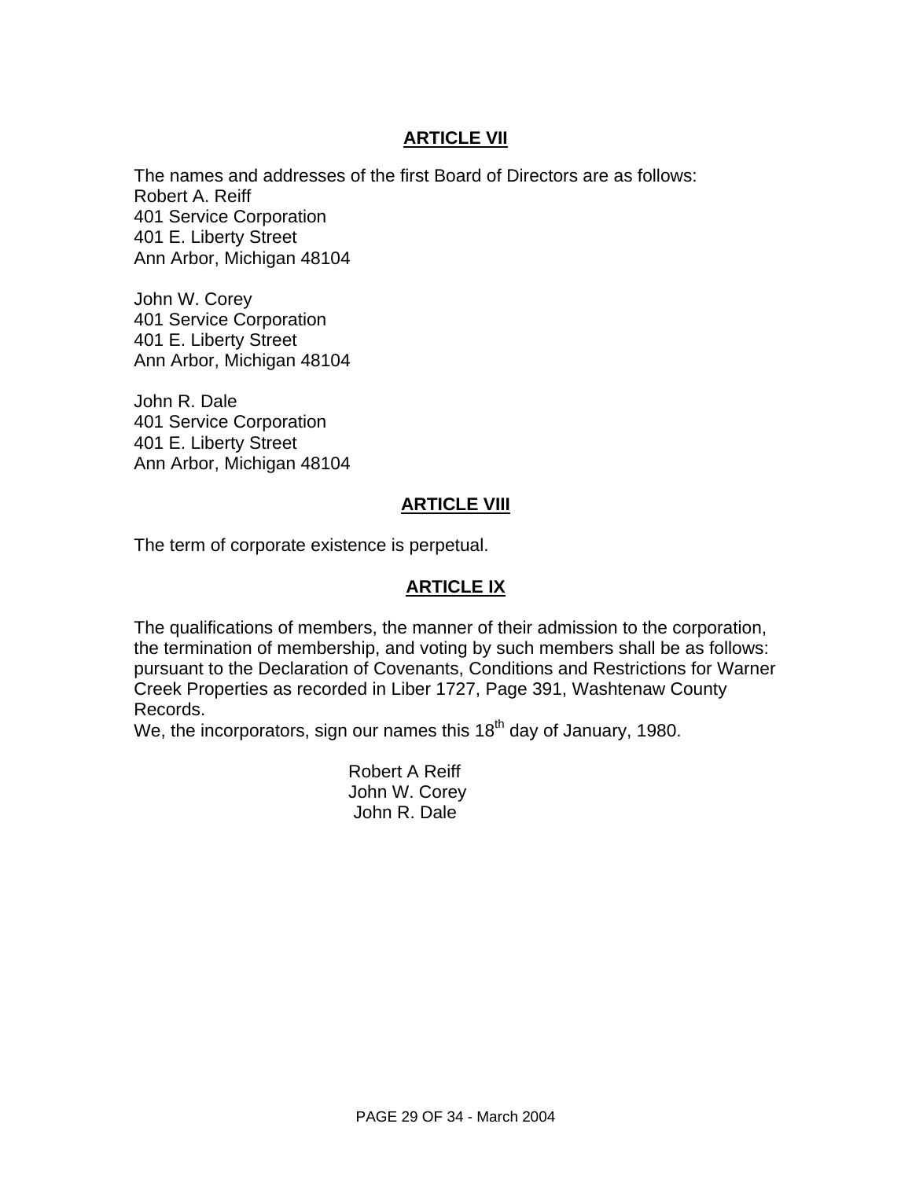# **ARTICLE VII**

The names and addresses of the first Board of Directors are as follows: Robert A. Reiff 401 Service Corporation 401 E. Liberty Street Ann Arbor, Michigan 48104

John W. Corey 401 Service Corporation 401 E. Liberty Street Ann Arbor, Michigan 48104

John R. Dale 401 Service Corporation 401 E. Liberty Street Ann Arbor, Michigan 48104

# **ARTICLE VIII**

The term of corporate existence is perpetual.

## **ARTICLE IX**

The qualifications of members, the manner of their admission to the corporation, the termination of membership, and voting by such members shall be as follows: pursuant to the Declaration of Covenants, Conditions and Restrictions for Warner Creek Properties as recorded in Liber 1727, Page 391, Washtenaw County Records.

We, the incorporators, sign our names this  $18<sup>th</sup>$  day of January, 1980.

 Robert A Reiff John W. Corey John R. Dale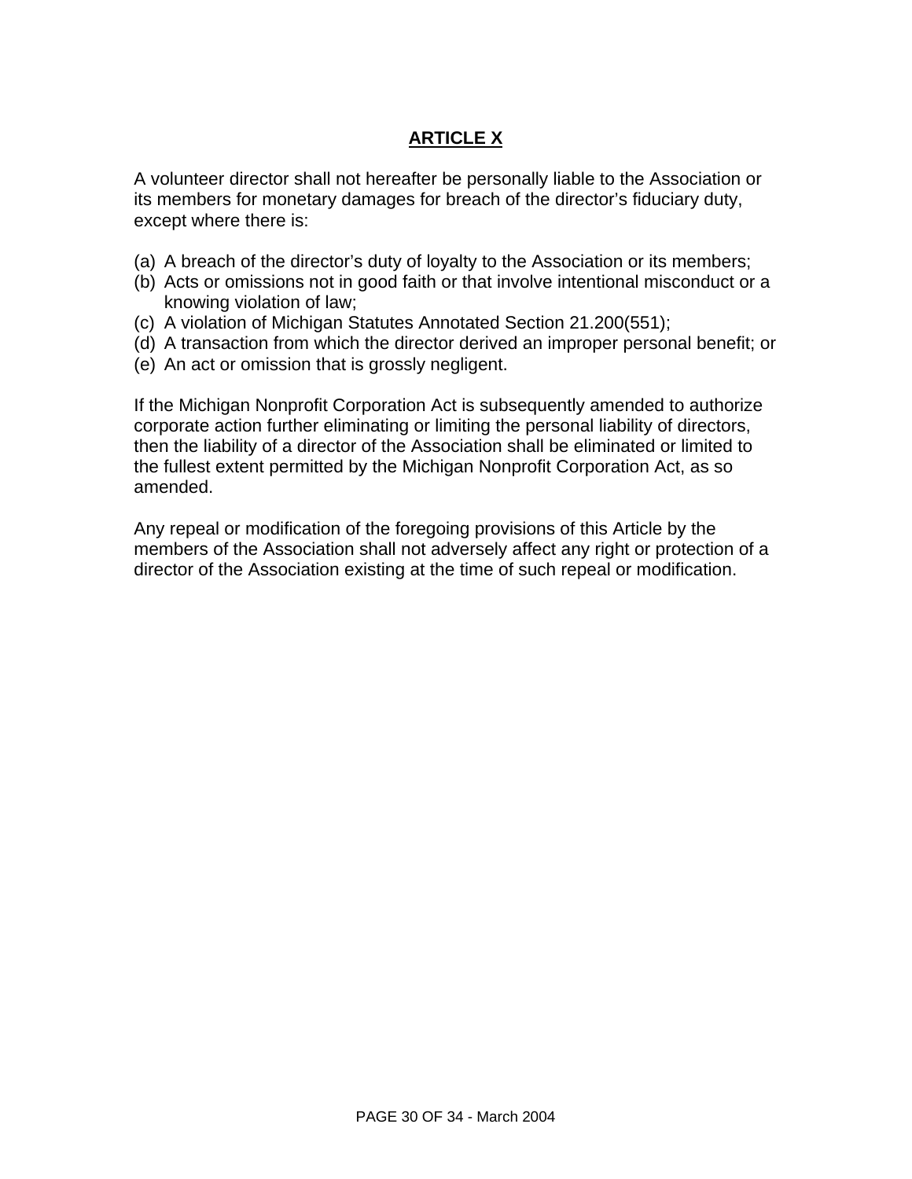# **ARTICLE X**

A volunteer director shall not hereafter be personally liable to the Association or its members for monetary damages for breach of the director's fiduciary duty, except where there is:

- (a) A breach of the director's duty of loyalty to the Association or its members;
- (b) Acts or omissions not in good faith or that involve intentional misconduct or a knowing violation of law;
- (c) A violation of Michigan Statutes Annotated Section 21.200(551);
- (d) A transaction from which the director derived an improper personal benefit; or
- (e) An act or omission that is grossly negligent.

If the Michigan Nonprofit Corporation Act is subsequently amended to authorize corporate action further eliminating or limiting the personal liability of directors, then the liability of a director of the Association shall be eliminated or limited to the fullest extent permitted by the Michigan Nonprofit Corporation Act, as so amended.

Any repeal or modification of the foregoing provisions of this Article by the members of the Association shall not adversely affect any right or protection of a director of the Association existing at the time of such repeal or modification.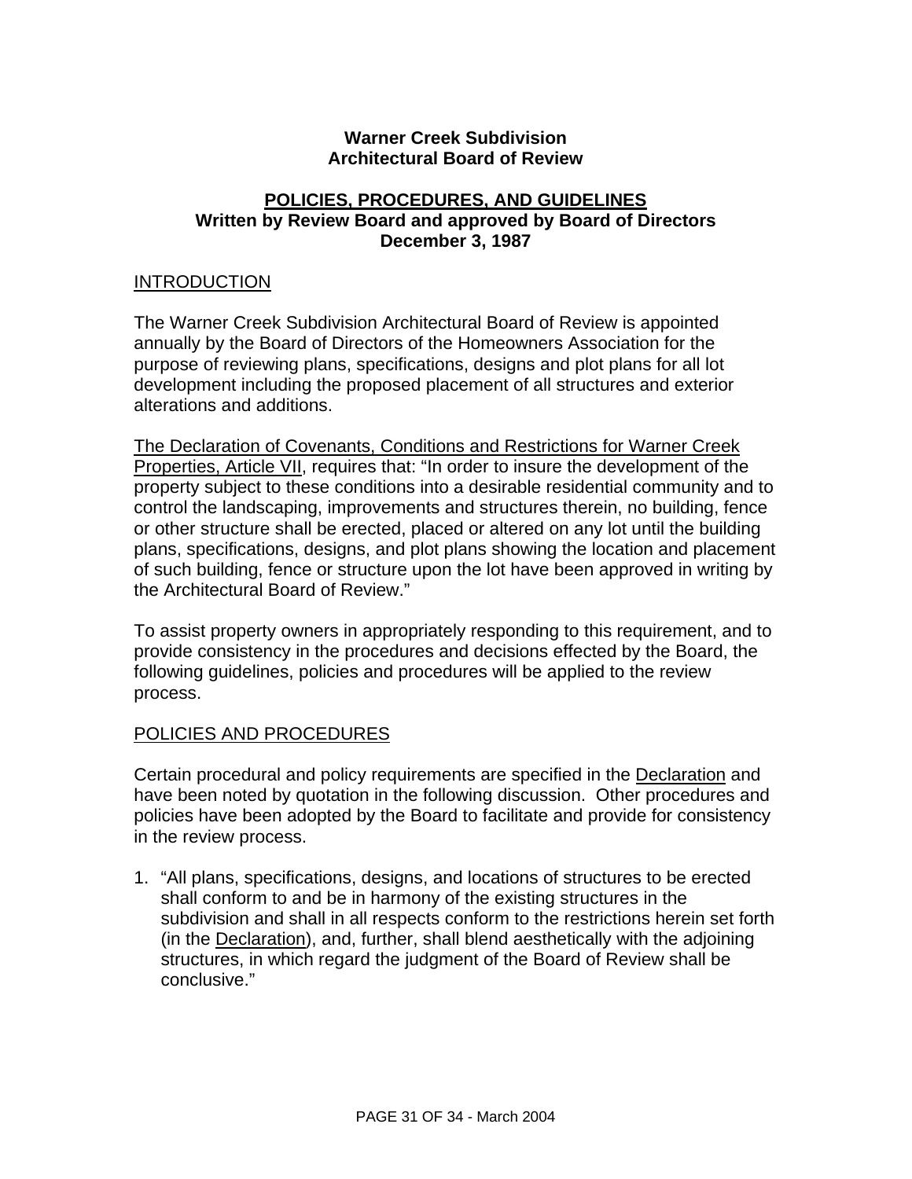## **Warner Creek Subdivision Architectural Board of Review**

## **POLICIES, PROCEDURES, AND GUIDELINES Written by Review Board and approved by Board of Directors December 3, 1987**

#### INTRODUCTION

The Warner Creek Subdivision Architectural Board of Review is appointed annually by the Board of Directors of the Homeowners Association for the purpose of reviewing plans, specifications, designs and plot plans for all lot development including the proposed placement of all structures and exterior alterations and additions.

The Declaration of Covenants, Conditions and Restrictions for Warner Creek Properties, Article VII, requires that: "In order to insure the development of the property subject to these conditions into a desirable residential community and to control the landscaping, improvements and structures therein, no building, fence or other structure shall be erected, placed or altered on any lot until the building plans, specifications, designs, and plot plans showing the location and placement of such building, fence or structure upon the lot have been approved in writing by the Architectural Board of Review."

To assist property owners in appropriately responding to this requirement, and to provide consistency in the procedures and decisions effected by the Board, the following guidelines, policies and procedures will be applied to the review process.

### POLICIES AND PROCEDURES

Certain procedural and policy requirements are specified in the Declaration and have been noted by quotation in the following discussion. Other procedures and policies have been adopted by the Board to facilitate and provide for consistency in the review process.

1. "All plans, specifications, designs, and locations of structures to be erected shall conform to and be in harmony of the existing structures in the subdivision and shall in all respects conform to the restrictions herein set forth (in the Declaration), and, further, shall blend aesthetically with the adjoining structures, in which regard the judgment of the Board of Review shall be conclusive."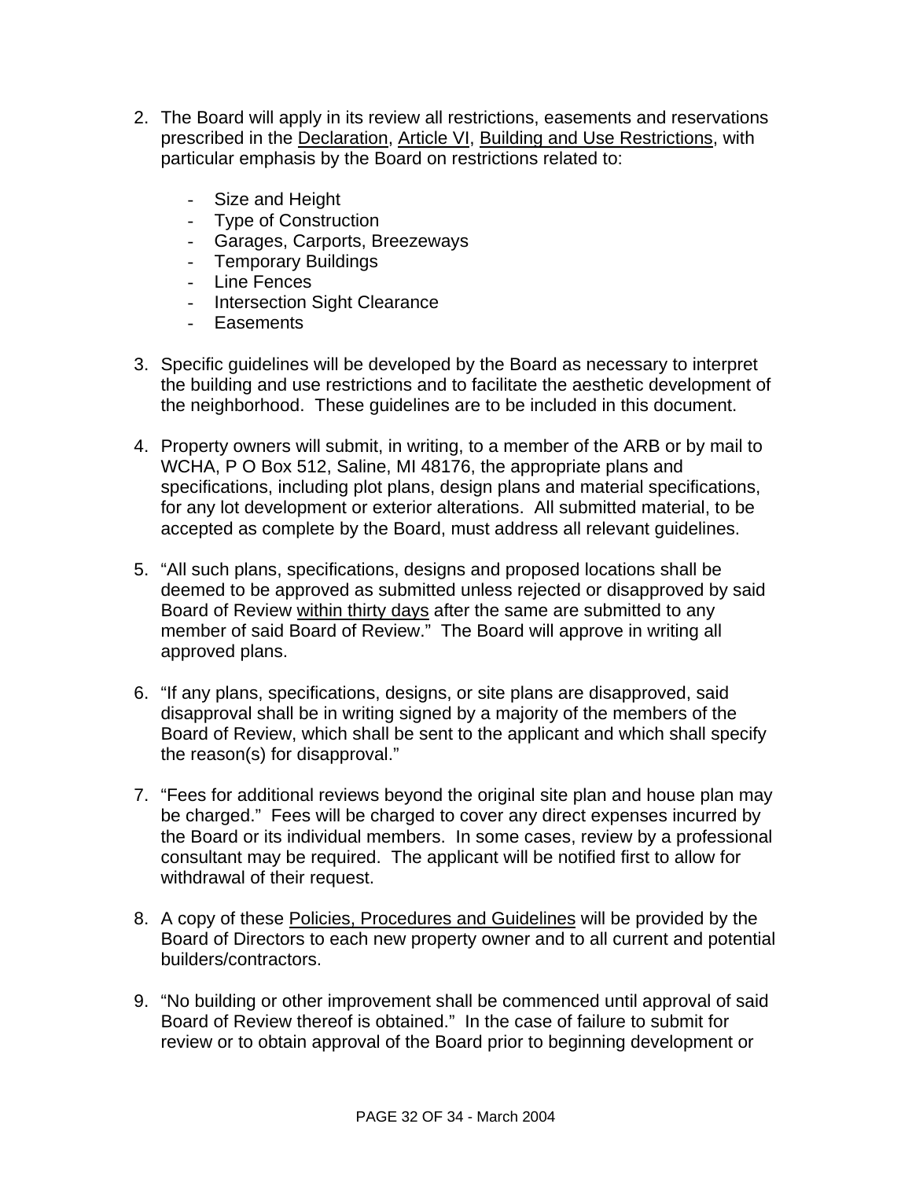- 2. The Board will apply in its review all restrictions, easements and reservations prescribed in the Declaration, Article VI, Building and Use Restrictions, with particular emphasis by the Board on restrictions related to:
	- Size and Height
	- Type of Construction
	- Garages, Carports, Breezeways
	- Temporary Buildings
	- Line Fences
	- Intersection Sight Clearance
	- Easements
- 3. Specific guidelines will be developed by the Board as necessary to interpret the building and use restrictions and to facilitate the aesthetic development of the neighborhood. These guidelines are to be included in this document.
- 4. Property owners will submit, in writing, to a member of the ARB or by mail to WCHA, P O Box 512, Saline, MI 48176, the appropriate plans and specifications, including plot plans, design plans and material specifications, for any lot development or exterior alterations. All submitted material, to be accepted as complete by the Board, must address all relevant guidelines.
- 5. "All such plans, specifications, designs and proposed locations shall be deemed to be approved as submitted unless rejected or disapproved by said Board of Review within thirty days after the same are submitted to any member of said Board of Review." The Board will approve in writing all approved plans.
- 6. "If any plans, specifications, designs, or site plans are disapproved, said disapproval shall be in writing signed by a majority of the members of the Board of Review, which shall be sent to the applicant and which shall specify the reason(s) for disapproval."
- 7. "Fees for additional reviews beyond the original site plan and house plan may be charged." Fees will be charged to cover any direct expenses incurred by the Board or its individual members. In some cases, review by a professional consultant may be required. The applicant will be notified first to allow for withdrawal of their request.
- 8. A copy of these Policies, Procedures and Guidelines will be provided by the Board of Directors to each new property owner and to all current and potential builders/contractors.
- 9. "No building or other improvement shall be commenced until approval of said Board of Review thereof is obtained." In the case of failure to submit for review or to obtain approval of the Board prior to beginning development or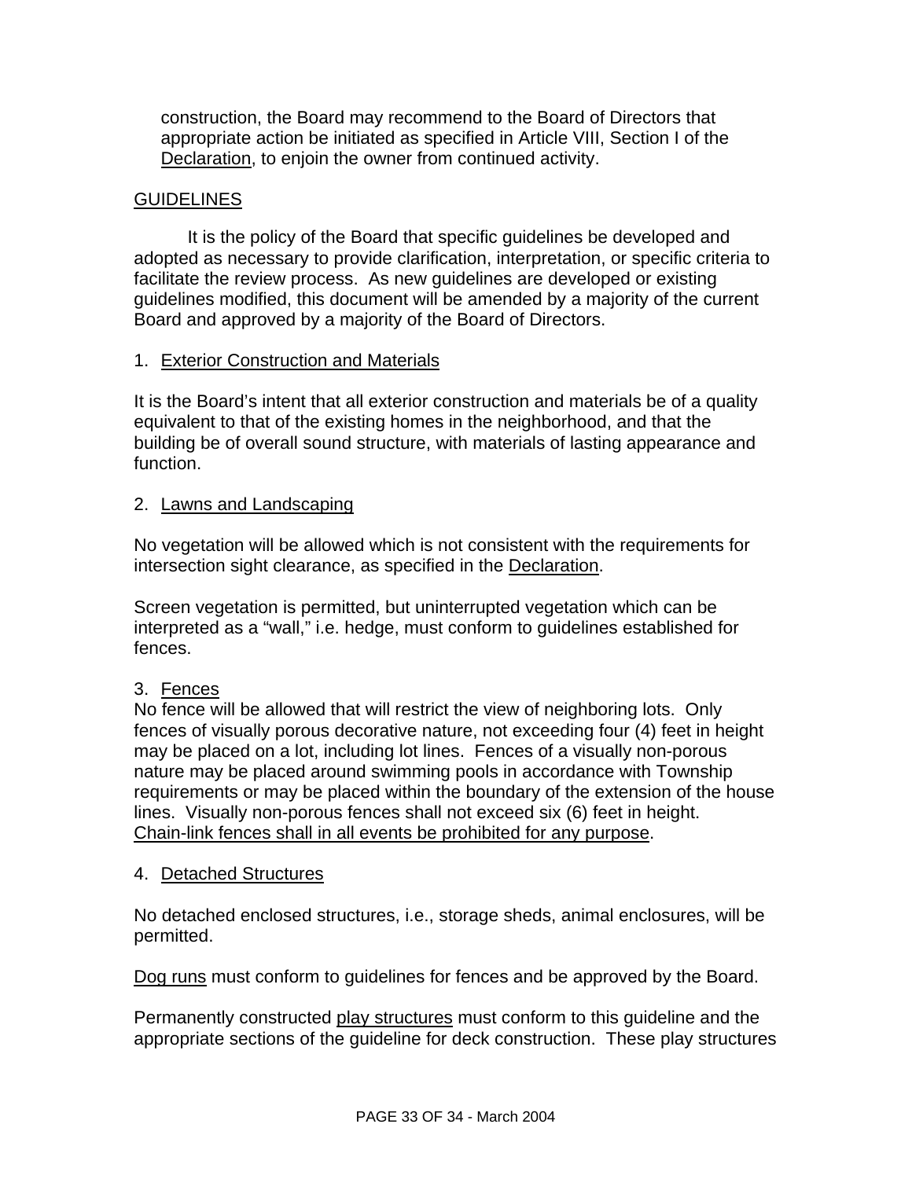construction, the Board may recommend to the Board of Directors that appropriate action be initiated as specified in Article VIII, Section I of the Declaration, to enjoin the owner from continued activity.

### **GUIDELINES**

 It is the policy of the Board that specific guidelines be developed and adopted as necessary to provide clarification, interpretation, or specific criteria to facilitate the review process. As new guidelines are developed or existing guidelines modified, this document will be amended by a majority of the current Board and approved by a majority of the Board of Directors.

# 1. Exterior Construction and Materials

It is the Board's intent that all exterior construction and materials be of a quality equivalent to that of the existing homes in the neighborhood, and that the building be of overall sound structure, with materials of lasting appearance and function.

### 2. Lawns and Landscaping

No vegetation will be allowed which is not consistent with the requirements for intersection sight clearance, as specified in the Declaration.

Screen vegetation is permitted, but uninterrupted vegetation which can be interpreted as a "wall," i.e. hedge, must conform to guidelines established for fences.

# 3. Fences

No fence will be allowed that will restrict the view of neighboring lots. Only fences of visually porous decorative nature, not exceeding four (4) feet in height may be placed on a lot, including lot lines. Fences of a visually non-porous nature may be placed around swimming pools in accordance with Township requirements or may be placed within the boundary of the extension of the house lines. Visually non-porous fences shall not exceed six (6) feet in height. Chain-link fences shall in all events be prohibited for any purpose.

### 4. Detached Structures

No detached enclosed structures, i.e., storage sheds, animal enclosures, will be permitted.

Dog runs must conform to guidelines for fences and be approved by the Board.

Permanently constructed play structures must conform to this guideline and the appropriate sections of the guideline for deck construction. These play structures